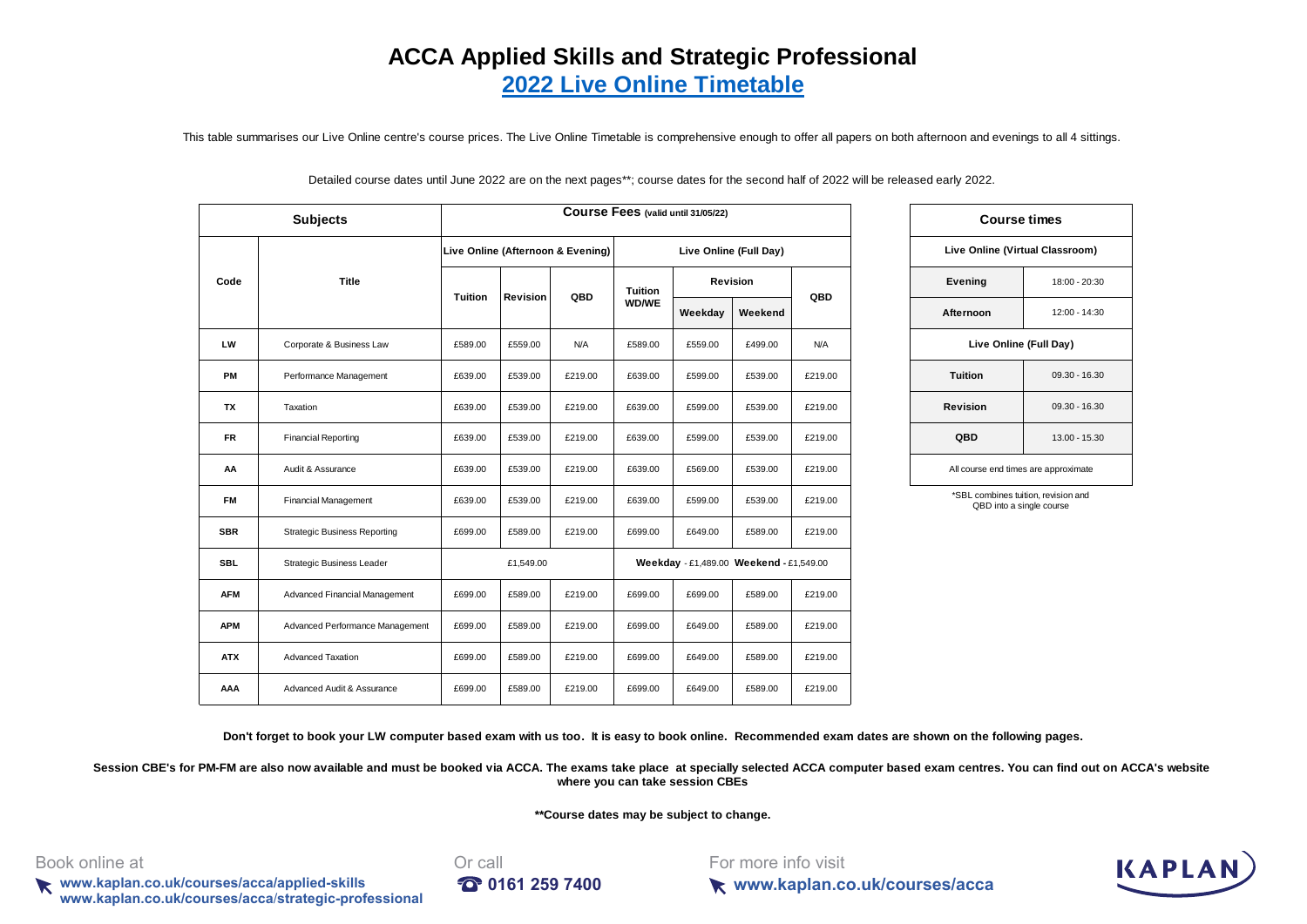# **[A](http://financial.kaplan.co.uk/TrainingandQuals/Accountancy/acca/Pages/computer-based-exams.aspx)CCA Applied Skills and Strategic Professional 2022 Live Online Timetable**

This table summarises our Live Online centre's course prices. The Live Online Timetable is comprehensive enough to offer all papers on both afternoon and evenings to all 4 sittings.

Detailed course dates until June 2022 are on the next pages\*\*; course dates for the second half of 2022 will be released early 2022.

|            | <b>Subjects</b>                     |                |           |                                   |         | Course Fees (valid until 31/05/22)      |                        |            |                 | <b>Course times</b>                                             |
|------------|-------------------------------------|----------------|-----------|-----------------------------------|---------|-----------------------------------------|------------------------|------------|-----------------|-----------------------------------------------------------------|
|            |                                     |                |           | Live Online (Afternoon & Evening) |         |                                         | Live Online (Full Day) |            |                 | Live Online (Virtual Classroom)                                 |
| Code       | <b>Title</b>                        |                |           | QBD                               | Tuition |                                         | Revision               |            | Evening         | 18:00 - 20:                                                     |
|            |                                     | <b>Tuition</b> | Revision  |                                   | WD/WE   | Weekday                                 | Weekend                | QBD        | Afternoon       | $12:00 - 14:$                                                   |
| <b>LW</b>  | Corporate & Business Law            | £589.00        | £559.00   | N/A                               | £589.00 | £559.00                                 | £499.00                | <b>N/A</b> |                 | Live Online (Full Day)                                          |
| PM         | Performance Management              | £639.00        | £539.00   | £219.00                           | £639.00 | £599.00                                 | £539.00                | £219.00    | <b>Tuition</b>  | $09.30 - 16.3$                                                  |
| <b>TX</b>  | Taxation                            | £639.00        | £539.00   | £219.00                           | £639.00 | £599.00                                 | £539.00                | £219.00    | <b>Revision</b> | $09.30 - 16.3$                                                  |
| <b>FR</b>  | <b>Financial Reporting</b>          | £639.00        | £539.00   | £219.00                           | £639.00 | £599.00                                 | £539.00                | £219.00    | QBD             | $13.00 - 15.$                                                   |
| AA         | Audit & Assurance                   | £639.00        | £539.00   | £219.00                           | £639.00 | £569.00                                 | £539.00                | £219.00    |                 | All course end times are approximate                            |
| FM         | <b>Financial Management</b>         | £639.00        | £539.00   | £219.00                           | £639.00 | £599.00                                 | £539.00                | £219.00    |                 | *SBL combines tuition, revision and<br>QBD into a single course |
| <b>SBR</b> | <b>Strategic Business Reporting</b> | £699.00        | £589.00   | £219.00                           | £699.00 | £649.00                                 | £589.00                | £219.00    |                 |                                                                 |
| <b>SBL</b> | Strategic Business Leader           |                | £1,549.00 |                                   |         | Weekday - £1,489.00 Weekend - £1,549.00 |                        |            |                 |                                                                 |
| <b>AFM</b> | Advanced Financial Management       | £699.00        | £589.00   | £219.00                           | £699.00 | £699.00                                 | £589.00                | £219.00    |                 |                                                                 |
| <b>APM</b> | Advanced Performance Management     | £699.00        | £589.00   | £219.00                           | £699.00 | £649.00                                 | £589.00                | £219.00    |                 |                                                                 |
| <b>ATX</b> | Advanced Taxation                   | £699.00        | £589.00   | £219.00                           | £699.00 | £649.00                                 | £589.00                | £219.00    |                 |                                                                 |
| AAA        | Advanced Audit & Assurance          | £699.00        | £589.00   | £219.00                           | £699.00 | £649.00                                 | £589.00                | £219.00    |                 |                                                                 |

|                                      | <b>Course times</b><br>Live Online (Virtual Classroom)<br>Evening<br>18:00 - 20:30<br>Afternoon<br>$12:00 - 14:30$<br>Live Online (Full Day)<br><b>Tuition</b><br>09.30 - 16.30 |  |  |  |  |  |  |  |  |  |  |  |
|--------------------------------------|---------------------------------------------------------------------------------------------------------------------------------------------------------------------------------|--|--|--|--|--|--|--|--|--|--|--|
|                                      |                                                                                                                                                                                 |  |  |  |  |  |  |  |  |  |  |  |
|                                      |                                                                                                                                                                                 |  |  |  |  |  |  |  |  |  |  |  |
|                                      |                                                                                                                                                                                 |  |  |  |  |  |  |  |  |  |  |  |
|                                      |                                                                                                                                                                                 |  |  |  |  |  |  |  |  |  |  |  |
| Revision                             | $09.30 - 16.30$                                                                                                                                                                 |  |  |  |  |  |  |  |  |  |  |  |
| QBD                                  | 13.00 - 15.30                                                                                                                                                                   |  |  |  |  |  |  |  |  |  |  |  |
| All course end times are approximate |                                                                                                                                                                                 |  |  |  |  |  |  |  |  |  |  |  |
| *SBL combines tuition, revision and  |                                                                                                                                                                                 |  |  |  |  |  |  |  |  |  |  |  |

QBD into a single course

**Don't forget to book your LW computer based exam with us too. It is easy to book online. Recommended exam dates are shown on the following pages.** 

Session CBE's for PM-FM are also now available and must be booked via ACCA. The exams take place at specially selected ACCA computer based exam centres. You can find out on ACCA's website **where you can take session CBEs**

**\*\*Course dates may be subject to change.**

Book online at **Driverse and Contract Contract Contract Contract Contract Contract Contract Contract Contract Contract Contract Contract Contract Contract Contract Contract Contract Contract Contract Contract Contract Cont** 

**www.kaplan.co.uk/courses/acca/applied-skills 161 259 7400 www.kaplan.co.uk/courses/acca**/**strategic-professional**



For more info visit



**www.kaplan.co.uk/courses/acca**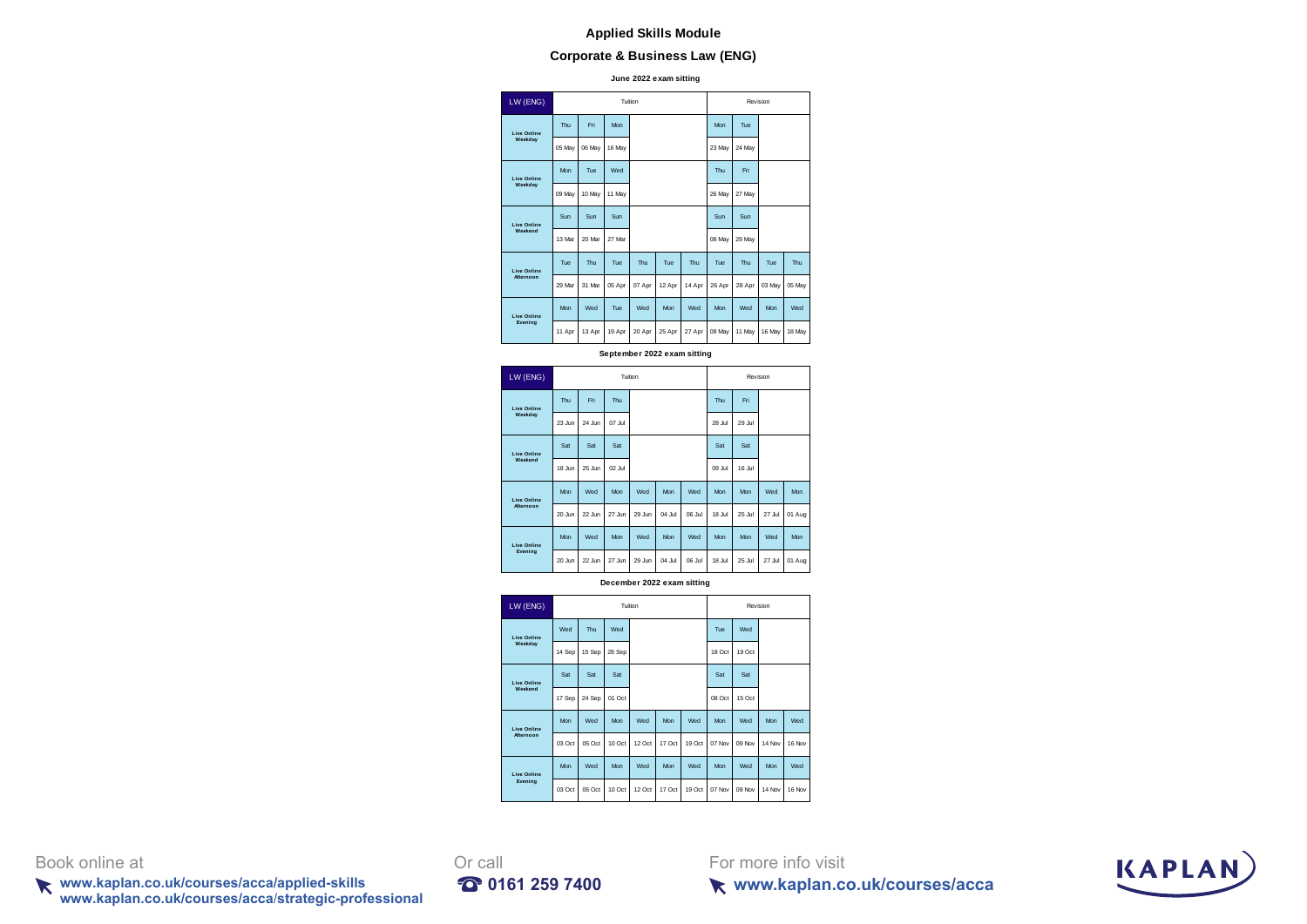# **Corporate & Business Law (ENG)**

**June 2022 exam sitting**

| LW (ENG)           |            |        |            | Tuition |        |        |            |        | Revision |        |
|--------------------|------------|--------|------------|---------|--------|--------|------------|--------|----------|--------|
| <b>Live Online</b> | Thu        | Fri    | <b>Mon</b> |         |        |        | Mon        | Tue    |          |        |
| Weekday            | 05 May     | 06 May | 16 May     |         |        |        | 23 May     | 24 May |          |        |
| <b>Live Online</b> | Mon        | Tue    | Wed        |         |        |        | Thu        | Fri    |          |        |
| Weekday            | 09 May     | 10 May | 11 May     |         |        |        | 26 May     | 27 May |          |        |
| <b>Live Online</b> | Sun        | Sun    | Sun        |         |        |        | Sun        | Sun    |          |        |
| Weekend            | 13 Mar     | 20 Mar | 27 Mar     |         |        |        | 08 May     | 29 May |          |        |
| <b>Live Online</b> | Tue        | Thu    | Tue        | Thu     | Tue    | Thu    | Tue        | Thu    | Tue      | Thu    |
| <b>Afternoon</b>   | 29 Mar     | 31 Mar | 05 Apr     | 07 Apr  | 12 Apr | 14 Apr | 26 Apr     | 28 Apr | 03 May   | 05 May |
| <b>Live Online</b> | <b>Mon</b> | Wed    | Tue        | Wed     | Mon.   | Wed    | <b>Mon</b> | Wed    | Mon      | Wed    |
| Evening            | 11 Apr     | 13 Apr | 19 Apr     | 20 Apr  | 25 Apr | 27 Apr | 09 May     | 11 May | 16 May   | 18 May |

**September 2022 exam sitting**

| LW (ENG)                              |        |        | Tuition    |        |        |        |            | Revision   |        |        |
|---------------------------------------|--------|--------|------------|--------|--------|--------|------------|------------|--------|--------|
| <b>Live Online</b>                    | Thu    | Fri    | Thu        |        |        |        | Thu        | Fri        |        |        |
| Weekday                               | 23.lun | 24 Jun | 07.lul     |        |        |        | 28 Jul     | 29 Jul     |        |        |
| <b>Live Online</b>                    | Sat    | Sat    | Sat        |        |        |        | Sat        | Sat        |        |        |
| Weekend                               | 18 Jun | 25 Jun | $02$ .lul  |        |        |        | 09 Jul     | 16 Jul     |        |        |
| <b>Live Online</b><br><b>Mternoon</b> | Mon    | Wed    | Mon        | Wed    | Mon    | Wed    | Mon        | <b>Mon</b> | Wed    | Mon    |
|                                       | 20 Jun | 22 Jun | 27.lun     | 29 Jun | 04 Jul | O6 Jul | 18 Jul     | 25 Jul     | 27 Jul | 01 Aug |
| <b>Live Online</b>                    | Mon    | Wed    | <b>Mon</b> | Wed    | Mon    | Wed    | <b>Mon</b> | <b>Mon</b> | Wed    | Mon    |
| Evening                               | 20 Jun | 22 Jun | 27 Jun     | 29 Jun | 04 Jul | O6 Jul | 18 Jul     | 25 Jul     | 27 Jul | 01 Aug |

**December 2022 exam sitting**

| LW (ENG)           |        |        |        | Tuition |        |        |        |        | Revision |        |
|--------------------|--------|--------|--------|---------|--------|--------|--------|--------|----------|--------|
| <b>Live Online</b> | Wed    | Thu    | Wed    |         |        |        | Tue    | Wed    |          |        |
| Weekdav            | 14 Sep | 15 Sep | 28 Sep |         |        |        | 18 Oct | 19 Oct |          |        |
| <b>Live Online</b> | Sat    | Sat    | Sat    |         |        |        | Sat    | Sat    |          |        |
| Weekend            | 17 Sep | 24 Sep | 01 Oct |         |        |        | 08 Oct | 15 Oct |          |        |
| <b>Live Online</b> | Mon    | Wed    | Mon    | Wed     | Mon    | Wed    | Mon    | Wed    | Mon      | Wed    |
| <b>Mternoon</b>    | 03 Oct | 05 Oct | 10 Oct | 12 Oct  | 17 Oct | 19 Oct | 07 Nov | 09 Nov | 14 Nov   | 16 Nov |
| <b>Live Online</b> | Mon    | Wed    | Mon    | Wed     | Mon    | Wed    | Mon    | Wed    | Mon      | Wed    |
| Evening            | 03 Oct | 05 Oct | 10 Oct | 12 Oct  | 17 Oct | 19 Oct | 07 Nov | 09 Nov | 14 Nov   | 16 Nov |

Book online at Orcall

**www.kaplan.co.uk/courses/acca/applied-skills 0161 259 7400 www.kaplan.co.uk/courses/acca**/**strategic-professional**

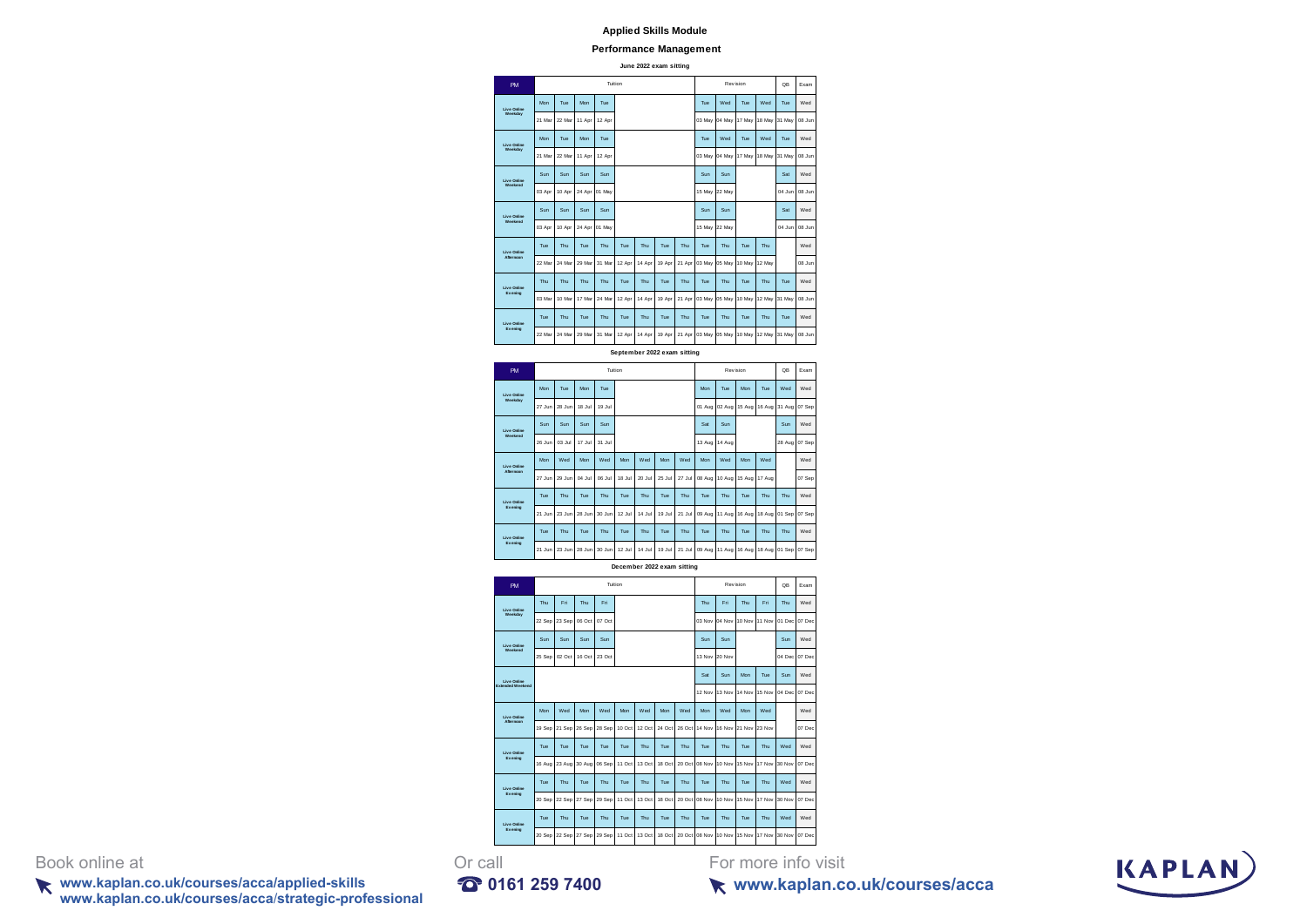#### **Performance Management**

**June 2022 exam sitting**

| PM                            |        |        |        | Tuition |        |                             |        |        |        | Revision |        |        | <b>QB</b>           | Exam   |
|-------------------------------|--------|--------|--------|---------|--------|-----------------------------|--------|--------|--------|----------|--------|--------|---------------------|--------|
| Live Onlin<br>Weekday         | Mon    | Tue    | Mon    | Tue     |        |                             |        |        | Tue    | Wed      | Tue    | Wed    | Tue                 | Wed    |
|                               | 21 Mar | 22 Mar | 11 Apr | 12 Apr  |        |                             |        |        | 03 May | 04 May   | 17 May | 18 May | 31 May              | ns.lun |
| Live Onlin<br>Weekday         | Mon    | Tue    | Mon    | Tue     |        |                             |        |        | Tue    | Wed      | Tue    | Wed    | Tue                 | Wed    |
|                               | 21 Ma  | 22 Mar | 11 Apr | 12 Apr  |        |                             |        |        | 03 May | 04 May   | 17 May | 18 May | 31 May              | 08 Jun |
| Live Onlin<br>Weekend         | Sun    | Sun    | Sun    | Sun     |        |                             |        |        | Sun    | Sun      |        |        | Sat                 | Wed    |
|                               | 03 Apr | 10 Apr | 24 Apr | 01 May  |        |                             |        |        | 15 May | 22 May   |        |        | 04 Jun              | 08 Jun |
| <b>Live Online</b><br>Weekend | Sun    | Sun    | Sun    | Sun     |        |                             |        |        | Sun    | Sun      |        |        | Sat                 | Wed    |
|                               | 03 Apr | 10 Apr | 24 Apr | 01 May  |        |                             |        |        | 15 May | 22 May   |        |        | 04 Jun              | 08 Jur |
| Live Onli                     | Tue    | Thu    | Tue    | Thu     | Tue    | Thu                         | Tue    | Thu    | Tue    | Thu      | Tue    | Thu    |                     | Wed    |
|                               | 22 Mar | 24 Mar | 29 Mar | 31 Mar  | 12 Apr | 14 Apr                      | 19 Apr | 21 Apr | 03 May | 05 May   | 10 May | 12 May |                     | 08 Jun |
| Live Onlin<br>Evening         | Thu    | Thu    | Thu    | Thu     | Tue    | Thu                         | Tue    | Thu    | Tue    | Thu      | Tue    | Thu    | Tue                 | Wed    |
|                               | 03 Ma  | 10 Mar | 17 Mar | 24 Mar  | 12 Apr | 14 Apr                      | 19 Apr | 21 Apr | 03 May | 05 May   | 10 May | 12 May | 31 May              | 08 Jun |
| Live Onlin<br>Evening         | Tue    | Thu    | Tue    | Thu     | Tue    | Thu                         | Tue    | Thu    | Tue    | Thu      | Tue    | Thu    | Tue                 | Wed    |
|                               | 22 Ma  | 24 Mar | 29 Ma  | 31 Mar  | 12 Apr | 14 Apr                      | 19 Apr | 21 Apr | 03 May | 05 May   | 10 May | 12 May | 31 May              | 08 Jur |
|                               |        |        |        |         |        | September 2022 exam sitting |        |        |        |          |        |        |                     |        |
| <b>PM</b>                     |        |        |        | Tuition |        |                             |        |        |        | Revision |        |        | <b>QB</b>           | Exam   |
| Live Onlin<br>Weekday         | Mon    | Tue    | Mon    | Tue     |        |                             |        |        | Mon    | Tue      | Mon    | Tue    | Wed                 | Wed    |
|                               | 27 Jun | 28 Jun | 18 Jul | 19 Jul  |        |                             |        |        | 01 Aug | 02 Aug   | 15 Aug | 16 Aug | 31 Aug              | 07 Sep |
| <b>Live Online</b><br>Weekend | Sun    | Sun    | Sun    | Sun     |        |                             |        |        | Sat    | Sun      |        |        | Sun                 | Wed    |
|                               | 26 Jun | 03 Jul | 17 Jul | 31 Jul  |        |                             |        |        | 13 Aug | 14 Aug   |        |        | 28 Aug              | 07 Sep |
| Live Onlin<br>Afternoon       | Mon    | Wed    | Mon    | Wed     | Mon    | Wed                         | Mon    | Wed    | Mon    | Wed      | Mon    | Wed    |                     | Wed    |
|                               | 27 Jun | 29 Jun | 04 Jul | 06 Jul  | 18 Jul | 20 Jul                      | 25 Jul | 27 Jul | 08 Aug | 10 Aug   | 15 Aug | 17 Aug |                     | 07 Sep |
| Live Onlin<br>Evening         | Tue    | Thu    | Tue    | Thu     | Tue    | Thu                         | Tue    | Thu    | Tue    | Thu      | Tue    | Thu    | Thu                 | Wed    |
|                               | 21 Jun | 23 Jun | 28 Jun | 30 Jun  | 12 Jul | 14 Jul                      | 19 Jul | 21 Jul | 09 Aug | 11 Aug   | 16 Aug | 18 Aug | 01 Sep              | 07 Sep |
| Live Onlin<br>Evening         | Tue    | Thu    | Tue    | Thu     | Tue    | Thu                         | Tue    | Thu    | Tue    | Thu      | Tue    | Thu    | Thu                 | Wed    |
|                               | 21 Jun | 23 Jun | 28 Jun | 30 Jun  | 12 Jul | 14 Jul                      | 19 Jul | 21 Jul | 09 Aug | 11 Aug   | 16 Aug | 18 Aug | 01 Sep              | 07 Sep |
|                               |        |        |        |         |        | December 2022 exam sitting  |        |        |        |          |        |        |                     |        |
| <b>PM</b>                     |        |        |        | Tuition |        |                             |        |        |        | Revision |        |        | <b>QB</b>           | Exam   |
| Live Onli<br>Weekda           | Thu    | Eri    | Thu    | Eri     |        |                             |        |        | Thu    | Fri      | Thu    | Eri    | Thu                 | Wed    |
|                               | 22 Sep | 23 Sep | 06 Oct | 07 Oct  |        |                             |        |        | 03 Nov | 04 Nov   | 10 Nov | 11 Nov | 01 Dec              | 07 Dec |
| Live Online                   | Sun    | Sun    | Sun    | Sun     |        |                             |        |        | Sun    | Sun      |        |        | Sun                 | Wed    |
|                               | 25 Sep | 02 Oct | 16 Oct | 23 Oct  |        |                             |        |        | 13 Nov | 20 Nov   |        |        | 04 Dec              | 07 Dec |
| Live Online<br>ended Week     |        |        |        |         |        |                             |        |        | Sat    | Sun      | Mon    | Tue    | Sun                 | Wed    |
|                               |        |        |        |         |        |                             |        |        | 12 Nov | 13 Nov   | 14 Nov | 15 Nov | 04 Dec              | 07 Dec |
| Live Online                   | Mon    | Wed    | Mon    | Wed     | Mon    | Wed                         | Mon    | Wed    | Mon    | Wed      | Mon    | Wed    |                     | Wed    |
|                               | 19 Sep | 21 Sep | 26 Sep | 28 Sep  | 10 Oct | 12 Oct                      | 24 Oct | 26 Oct | 14 Nov | 16 Nov   | 21 Nov | 23 Nov |                     | 07 Dec |
| Live Onlin<br>Evening         | Tue    | Tue    | Tue    | Tue     | Tue    | Thu                         | Tue    | Thu    | Tue    | Thu      | Tue    | Thu    | Wed                 | Wed    |
|                               | 16 Aug | 23 Aug | 30 Aug | 06 Sep  | 11 Oct | 13 Oct                      | 18 Oct | 20 Oct | 08 Nov | 10 Nov   | 15 Nov | 17 Nov | 30 Nov              | 07 Dec |
| Live Online                   | Tue    | Thu    | Tue    | Thu     | Tue    | Thu                         | Tue    | Thu    | Tue    | Thu      | Tue    | Thu    | Wed                 | Wed    |
|                               | 20 Sep | 22 Sep | 27 Sep | 29 Sep  | 11 Oct | 13 Oct                      | 18 Oct | 20 Oct | 08 Nov | 10 Nov   | 15 Nov | 17 Nov | 30 Nov              | 07 Dec |
| Live Onlin<br>Evening         | Tue    | Thu    | Tue    | Thu     | Tue    | Thu                         | Tue    | Thu    | Tue    | Thu      | Tue    | Thu    | Wed                 | Wed    |
|                               | 20 Sep | 22 Sep | 27 Sep | 29 Sep  | 11 Oct | 13 Oct                      | 18 Oct | 20 Oct | 08 Nov | 10 Nov   | 15 Nov | 17 Nov | 30 Nov              | 07 Dec |
| all                           |        |        |        |         |        |                             |        |        |        |          |        |        | For more info visit |        |

# Book online at **Or** call

**www.kaplan.co.uk/courses/acca/applied-skills 0161 259 7400 www.kaplan.co.uk/courses/acca**/**strategic-professional**

**www.kaplan.co.uk/courses/acca**

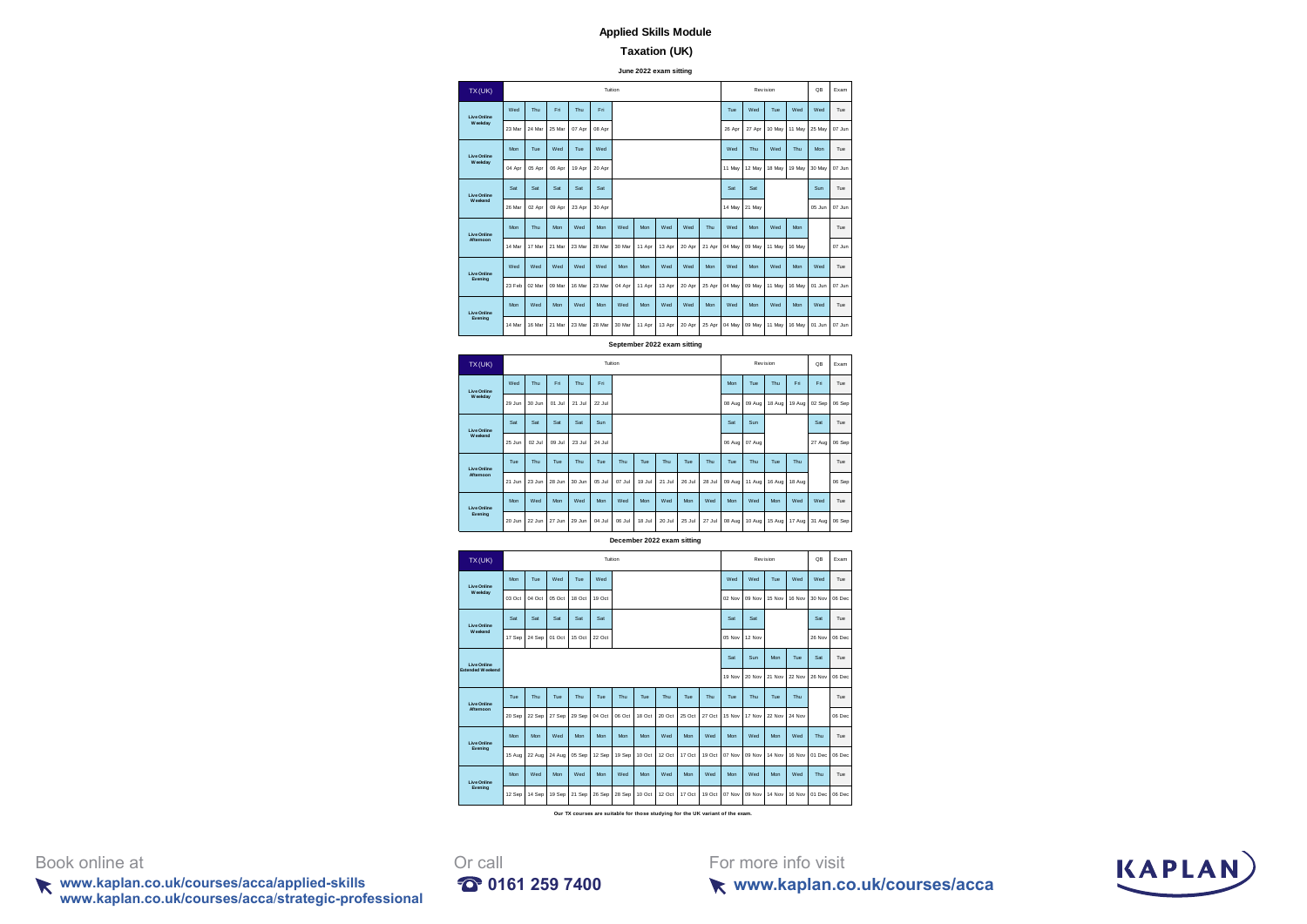### **Taxation (UK)**

**June 2022 exam sitting**

| TX(UK)             |        |        |        |        | Tuition |        |        |        |        |        |        |        | Revision |        | QB     | Exam   |
|--------------------|--------|--------|--------|--------|---------|--------|--------|--------|--------|--------|--------|--------|----------|--------|--------|--------|
| <b>Live Online</b> | Wed    | Thu    | Fri    | Thu    | Fri     |        |        |        |        |        | Tue    | Wed    | Tue      | Wed    | Wed    | Tue    |
| W ookday           | 23 Mar | 24 Mar | 25 Mar | 07 Apr | 08 Apr  |        |        |        |        |        | 26 Apr | 27 Apr | 10 May   | 11 May | 25 May | 07 Jun |
| <b>Live Online</b> | Mon    | Tue    | Wed    | Tue    | Wed     |        |        |        |        |        | Wed    | Thu    | Wed      | Thu    | Mon    | Tue    |
| W ookday           | 04 Apr | 05 Apr | 06 Apr | 19 Apr | 20 Apr  |        |        |        |        |        | 11 May | 12 May | 18 May   | 19 May | 30 May | 07 Jun |
| <b>Live Online</b> | Sat    | Sat    | Sat    | Sat    | Sat     |        |        |        |        |        | Sat    | Sat    |          |        | Sun    | Tue    |
| Weekend            | 26 Mar | 02 Apr | 09 Apr | 23 Apr | 30 Apr  |        |        |        |        |        | 14 May | 21 May |          |        | 05 Jun | 07 Jun |
| Live Online        | Mon    | Thu    | Mon    | Wed    | Mon     | Wed    | Mon    | Wed    | Wed    | Thu    | Wed    | Mon    | Wed      | Mon    |        | Tue    |
| Afternoon          | 14 Mar | 17 Mar | 21 Mar | 23 Mar | 28 Mar  | 30 Mar | 11 Apr | 13 Apr | 20 Apr | 21 Apr | 04 May | 09 May | 11 May   | 16 May |        | 07 Jun |
| <b>Live Online</b> | Wed    | Wed    | Wed    | Wed    | Wed     | Mon    | Mon    | Wed    | Wed    | Mon    | Wed    | Mon    | Wed      | Mon    | Wed    | Tue    |
| Evening            | 23 Feb | 02 Mar | 09 Mar | 16 Mar | 23 Mar  | 04 Apr | 11 Apr | 13 Apr | 20 Apr | 25 Apr | 04 May | 09 May | 11 May   | 16 May | 01 Jun | 07 Jun |
| <b>Live Online</b> | Mon    | Wed    | Mon    | Wed    | Mon     | Wed    | Mon    | Wed    | Wed    | Mon    | Wed    | Mon    | Wed      | Mon    | Wed    | Tue    |
| Evening            | 14 Mar | 16 Mar | 21 Mar | 23 Mar | 28 Mar  | 30 Mar | 11 Apr | 13 Apr | 20 Apr | 25 Apr | 04 May | 09 May | 11 May   | 16 May | 01 Jun | 07 Jun |

**September 2022 exam sitting**

| TX(UK)             |        |        |        |        |        | Tuition |        |        |        |        |        |        | Revision |        | QB     | Exam   |
|--------------------|--------|--------|--------|--------|--------|---------|--------|--------|--------|--------|--------|--------|----------|--------|--------|--------|
| <b>Live Online</b> | Wed    | Thu    | Eri    | Thu    | Fri    |         |        |        |        |        | Mon    | Tue    | Thu      | Fri    | Fri    | Tue    |
| W oekday           | 29 Jun | 30 Jun | 01 Jul | 21 Jul | 22 Jul |         |        |        |        |        | 08 Aug | 09 Aug | 18 Aug   | 19 Aug | 02 Sep | 06 Sep |
| <b>Live Online</b> | Sat    | Sat    | Sat    | Sat    | Sun    |         |        |        |        |        | Sat    | Sun    |          |        | Sat    | Tue    |
| <b>W</b> eekend    | 25 Jun | 02 Jul | 09 Jul | 23 Jul | 24 Jul |         |        |        |        |        | 06 Aug | 07 Aug |          |        | 27 Aug | 06 Sep |
| <b>Live Online</b> | Tue    | Thu    | Tue    | Thu    | Tue    | Thu     | Tue    | Thu    | Tue    | Thu    | Tue    | Thu    | Tue      | Thu    |        | Tue    |
| Afternoon          | 21 Jun | 23 Jun | 28 Jun | 30 Jun | 05 Jul | 07 Jul  | 19 Jul | 21 Jul | 26 Jul | 28 Jul | 09 Aug | 11 Aug | 16 Aug   | 18 Aug |        | 06 Sep |
| <b>Live Online</b> | Mon    | Wed    | Mon    | Wed    | Mon    | Wed     | Mon    | Wed    | Mon    | Wed    | Mon    | Wed    | Mon      | Wed    | Wed    | Tue    |
| Evening            | 20 Jun | 22 Jun | 27 Jun | 29 Jun | 04 Jul | 06 Jul  | 18 Jul | 20 Jul | 25 Jul | 27 Jul | 08 Aug | 10 Aug | 15 Aug   | 17 Aug | 31 Aug | 06 Sep |

**December 2022 exam sitting**



**Our TX courses are suitable for those studying for the UK variant of the exam.**

Book online at **Or** call

**www.kaplan.co.uk/courses/acca/applied-skills 0161 259 7400 www.kaplan.co.uk/courses/acca**/**strategic-professional**



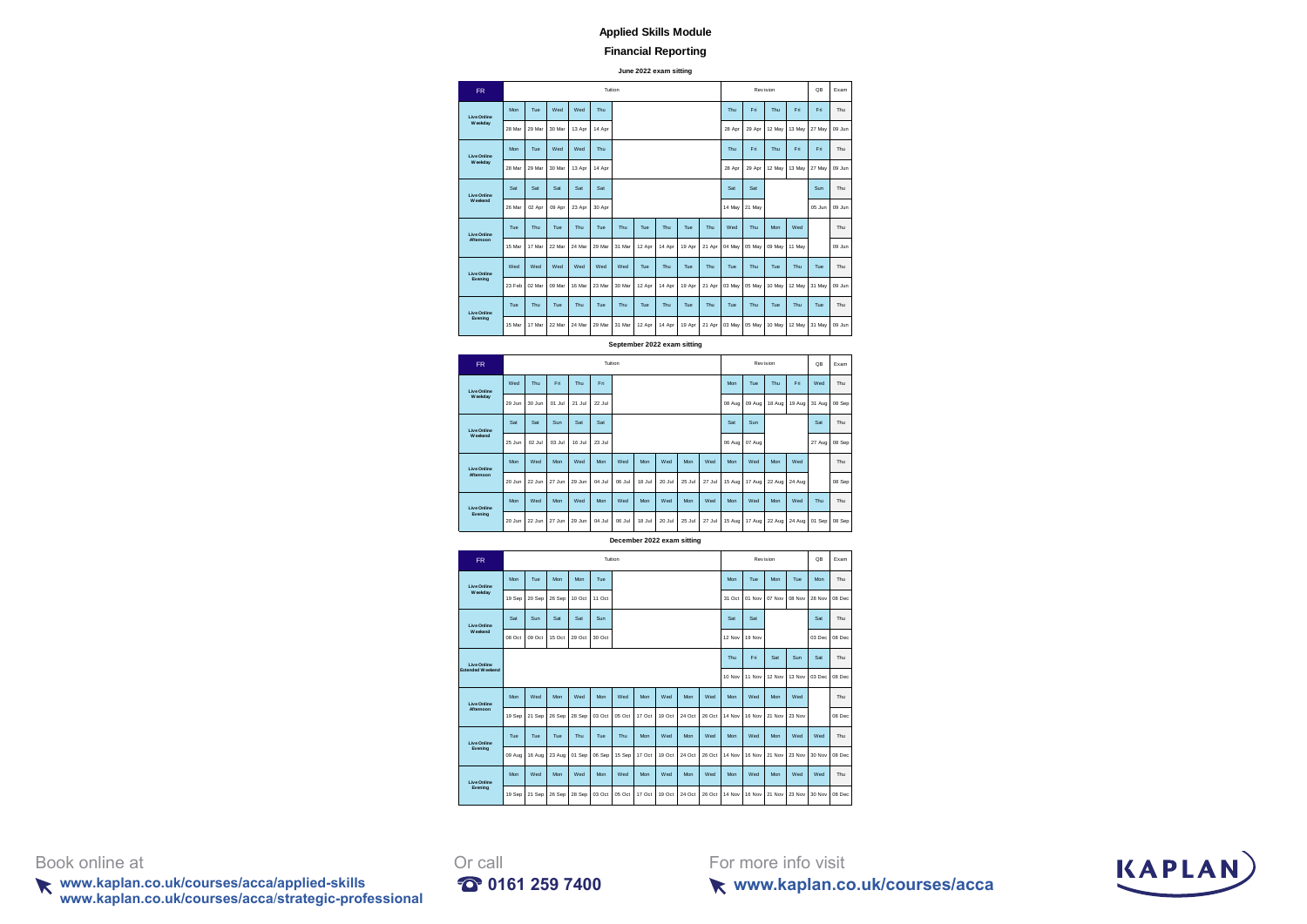#### **Financial Reporting**

**June 2022 exam sitting**

| <b>FR</b>          |        |        |        |        |        | Tuition |        |        |        |        |        |        | Revision |        | QB     | Exam   |
|--------------------|--------|--------|--------|--------|--------|---------|--------|--------|--------|--------|--------|--------|----------|--------|--------|--------|
| <b>Live Online</b> | Mon    | Tue    | Wed    | Wed    | Thu    |         |        |        |        |        | Thu    | Fri    | Thu      | Fri    | Fri    | Thu    |
| W oekday           | 28 Mar | 29 Mar | 30 Mar | 13 Apr | 14 Apr |         |        |        |        |        | 28 Apr | 29 Apr | 12 May   | 13 May | 27 May | 09 Jun |
| <b>Live Online</b> | Mon    | Tue    | Wed    | Wed    | Thu    |         |        |        |        |        | Thu    | Fri    | Thu      | Fri.   | Fri    | Thu    |
| W eekday           | 28 Mar | 29 Mar | 30 Mar | 13 Apr | 14 Apr |         |        |        |        |        | 28 Apr | 29 Apr | 12 May   | 13 May | 27 May | 09 Jun |
| <b>Live Online</b> | Sat    | Sat    | Sat    | Sat    | Sat    |         |        |        |        |        | Sat    | Sat    |          |        | Sun    | Thu    |
| <b>Weekend</b>     | 26 Mar | 02 Apr | 09 Apr | 23 Apr | 30 Apr |         |        |        |        |        | 14 May | 21 May |          |        | 05 Jun | 09 Jun |
| Live Online        | Tue    | Thu    | Tue    | Thu    | Tue    | Thu     | Tue    | Thu    | Tue    | Thu    | Wed    | Thu    | Mon      | Wed    |        | Thu    |
| Afternoon          | 15 Mar | 17 Mar | 22 Mar | 24 Mar | 29 Mar | 31 Mar  | 12 Apr | 14 Apr | 19 Apr | 21 Apr | 04 May | 05 May | 09 May   | 11 May |        | 09 Jun |
| <b>Live Online</b> | Wed    | Wed    | Wed    | Wed    | Wed    | Wed     | Tue    | Thu    | Tue    | Thu    | Tue    | Thu    | Tue      | Thu    | Tue    | Thu    |
| Evening            | 23 Feb | 02 Mar | 09 Mar | 16 Mar | 23 Mar | 30 Mar  | 12 Apr | 14 Apr | 19 Apr | 21 Apr | 03 May | 05 May | 10 May   | 12 May | 31 May | 09 Jun |
| <b>Live Online</b> | Tue    | Thu    | Tue    | Thu    | Tue    | Thu     | Tue    | Thu    | Tue    | Thu    | Tue    | Thu    | Tue      | Thu    | Tue    | Thu    |
| Evening            | 15 Mar | 17 Mar | 22 Mar | 24 Mar | 29 Mar | 31 Mar  | 12 Apr | 14 Apr | 19 Apr | 21 Apr | 03 May | 05 May | 10 May   | 12 May | 31 May | 09 Jun |

**September 2022 exam sitting**

| <b>FR</b>                             |        |        |        |        |        | Tuition |        |        |        |        |        |        | Revision |        | QB     | Exam   |
|---------------------------------------|--------|--------|--------|--------|--------|---------|--------|--------|--------|--------|--------|--------|----------|--------|--------|--------|
| <b>Live Online</b>                    | Wed    | Thu    | Eri    | Thu    | Fri    |         |        |        |        |        | Mon    | Tue    | Thu      | Fri    | Wed    | Thu    |
| W oekday                              | 29 Jun | 30 Jun | 01 Jul | 21 Jul | 22 Jul |         |        |        |        |        | 08 Aug | 09 Aug | 18 Aug   | 19 Aug | 31 Aug | 08 Sep |
| <b>Live Online</b>                    | Sat    | Sat    | Sun    | Sat    | Sat    |         |        |        |        |        | Sat    | Sun    |          |        | Sat    | Thu    |
| <b>W</b> eekend<br><b>Live Online</b> | 25 Jun | 02 Jul | 03 Jul | 16 Jul | 23 Jul |         |        |        |        |        | 06 Aug | 07 Aug |          |        | 27 Aug | 08 Sep |
| Afternoon                             | Mon    | Wed    | Mon    | Wed    | Mon    | Wed     | Mon    | Wed    | Mon    | Wed    | Mon    | Wed    | Mon      | Wed    |        | Thu    |
|                                       | 20 Jun | 22 Jun | 27 Jun | 29 Jun | 04 Jul | 06 Jul  | 18 Jul | 20 Jul | 25 Jul | 27 Jul | 15 Aug | 17 Aug | 22 Aug   | 24 Aug |        | 08 Sep |
| <b>Live Online</b>                    | Mon    | Wed    | Mon    | Wed    | Mon    | Wed     | Mon    | Wed    | Mon    | Wed    | Mon    | Wed    | Mon      | Wed    | Thu    | Thu    |
| Evening                               | 20 Jun | 22 Jun | 27 Jun | 29 Jun | 04 Jul | 06 Jul  | 18 Jul | 20 Jul | 25 Jul | 27 Jul | 15 Aug | 17 Aug | 22 Aug   | 24 Aug | 01 Sep | 08 Sep |

**December 2022 exam sitting**

| <b>FR</b>               |        |        |        |        |        | Tuition |        |        |        |        |        |        | Revision |               | QB            | Exam   |
|-------------------------|--------|--------|--------|--------|--------|---------|--------|--------|--------|--------|--------|--------|----------|---------------|---------------|--------|
| <b>Live Online</b>      | Mon    | Tue    | Mon    | Mon    | Tue    |         |        |        |        |        | Mon    | Tue    | Mon      | Tue           | Mon           | Thu    |
| W oekday                | 19 Sep | 20 Sep | 26 Sep | 10 Oct | 11 Oct |         |        |        |        |        | 31 Oct | 01 Nov | $07$ Nov | <b>OR Nov</b> | <b>28 Nov</b> | 08 Dec |
| <b>Live Online</b>      | Sat    | Sun    | Sat    | Sat    | Sun    |         |        |        |        |        | Sat    | Sat    |          |               | Sat           | Thu    |
| <b>W</b> eekend         | 08 Oct | 09 Oct | 15 Oct | 29 Oct | 30 Oct |         |        |        |        |        | 12 Nov | 19 Nov |          |               | 03 Dec        | 08 Dec |
| Live Online             |        |        |        |        |        |         |        |        |        |        | Thu    | Fri    | Sat      | Sun           | Sat           | Thu    |
| <b>Extended Weekend</b> |        |        |        |        |        |         |        |        |        |        | 10 Nov | 11 Nov | 12 Nov   | 13 Nov        | 03 Dec        | 08 Dec |
| Live Online             | Mon    | Wed    | Mon    | Wed    | Mon    | Wed     | Mon    | Wed    | Mon    | Wed    | Mon    | Wed    | Mon      | Wed           |               | Thu    |
| Afternoon               | 19 Sep | 21 Sep | 26 Sep | 28 Sep | 03 Oct | 05 Oct  | 17 Oct | 19 Oct | 24 Oct | 26 Oct | 14 Nov | 16 Nov | 21 Nov   | 23 Nov        |               | 08 Dec |
| <b>Live Online</b>      | Tue    | Tue    | Tue    | Thu    | Tue    | Thu     | Mon    | Wed    | Mon    | Wed    | Mon    | Wed    | Mon      | Wed           | Wed           | Thu    |
| Evening                 | 09 Aug | 16 Aug | 23 Aug | 01 Sep | 06 Sep | 15 Sep  | 17 Oct | 19 Oct | 24 Oct | 26 Oct | 14 Nov | 16 Nov | 21 Nov   | 23 Nov        | 30 Nov        | 08 Dec |
| <b>Live Online</b>      | Mon    | Wed    | Mon    | Wed    | Mon    | Wed     | Mon    | Wed    | Mon    | Wed    | Mon    | Wed    | Mon      | Wed           | Wed           | Thu    |
| Evening                 | 19 Sep | 21 Sep | 26 Sep | 28 Sep | 03 Oct | 05 Oct  | 17 Oct | 19 Oct | 24 Oct | 26 Oct | 14 Nov | 16 Nov | 21 Nov   | 23 Nov        | 30 Nov        | 08 Dec |

Book online at **Or** call

**www.kaplan.co.uk/courses/acca/applied-skills 0161 259 7400 www.kaplan.co.uk/courses/acca**/**strategic-professional**



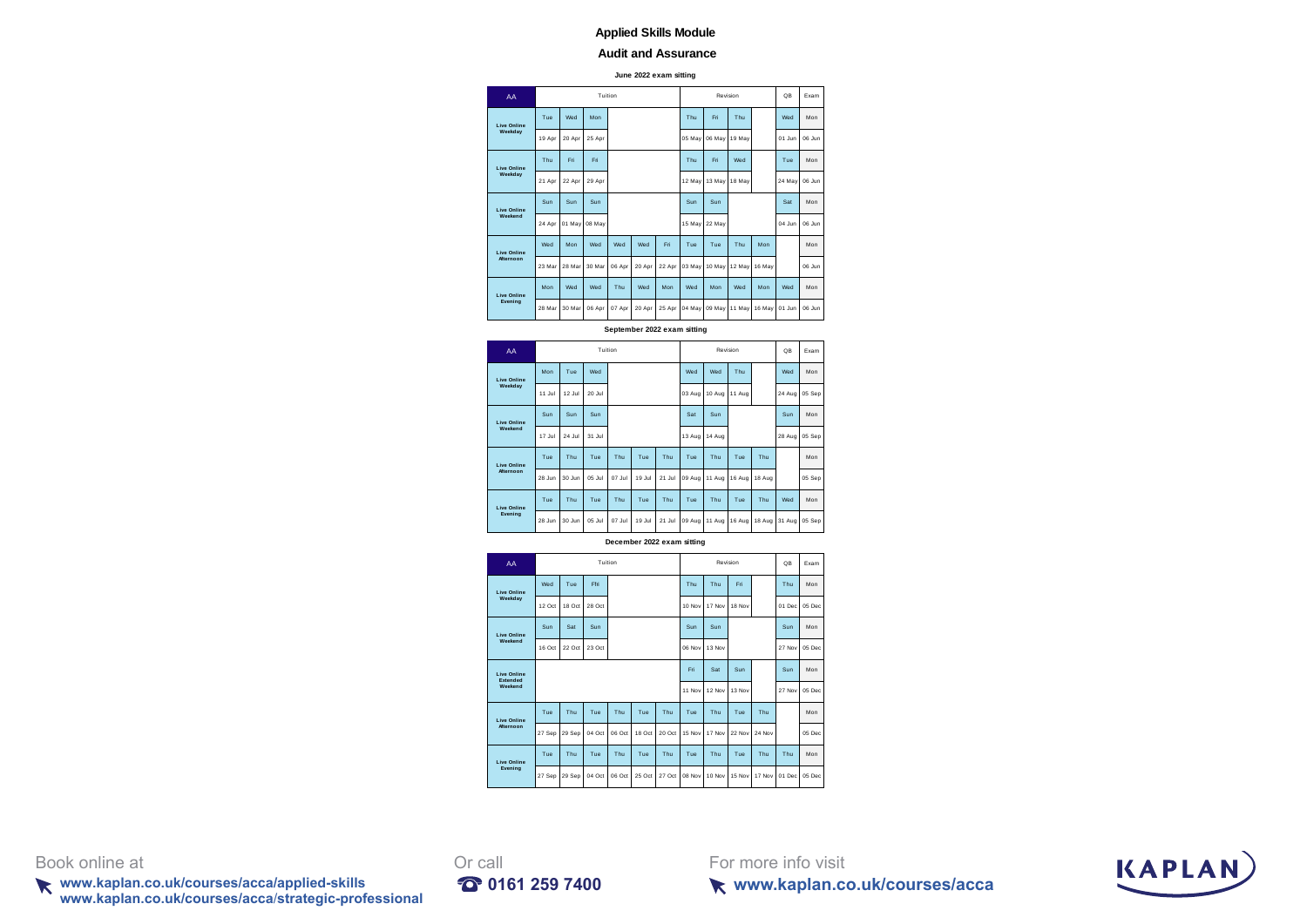#### **Audit and Assurance**

**June 2022 exam sitting**

| AA                 |        |        |        | Tuition |        |        |        |               | Revision |        | QB        | Exam      |
|--------------------|--------|--------|--------|---------|--------|--------|--------|---------------|----------|--------|-----------|-----------|
| <b>Live Online</b> | Tue    | Wed    | Mon    |         |        |        | Thu    | Eri           | Thu      |        | Wed       | Mon       |
| Weekdav            | 19 Apr | 20 Apr | 25 Apr |         |        |        | 05 May | 06 May        | 19 May   |        | 01 Jun    | 06 Jur    |
| <b>Live Online</b> | Thu    | Fri.   | Fri    |         |        |        | Thu    | Eri           | Wed      |        | Tue       | Mon       |
| Weekdav            | 21 Apr | 22 Apr | 29 Apr |         |        |        | 12 May | 13 May        | 18 May   |        | 24 May    | 06 Jur    |
| <b>Live Online</b> | Sun    | Sun    | Sun    |         |        |        | Sun    | Sun           |          |        | Sat       | Mon       |
| Weekend            | 24 Apr | 01 May | 08 May |         |        |        | 15 May | 22 May        |          |        | $04.$ lun | 06 Jur    |
| <b>Live Online</b> | Wed    | Mon    | Wed    | Wed     | Wed    | Eri    | Tue    | Tue           | Thu      | Mon    |           | Mon       |
| <b>Afternoon</b>   | 23 Mar | 28 Mar | 30 Mar | 06 Apr  | 20 Apr | 22 Apr | 03 May | 10 May        | 12 May   | 16 May |           | $06.$ lur |
| <b>Live Online</b> | Mon    | Wed    | Wed    | Thu     | Wed    | Mon    | Wed    | Mon           | Wed      | Mon    | Wed       | Mon       |
| Evening            | 28 Mar | 30 Mar | 06 Apr | 07 Apr  | 20 Apr | 25 Apr | 04 May | 09 May 11 May |          | 16 May | 01 Jun    | 06 Jur    |

**September 2022 exam sitting**

| AA                            |                                 |        |            |           |         |        |        |        |        |          | QB     | Exam   |
|-------------------------------|---------------------------------|--------|------------|-----------|---------|--------|--------|--------|--------|----------|--------|--------|
| <b>Live Online</b>            | Mon                             | Tue    | Wed        |           |         |        | Wed    | Wed    | Thu    |          | Wed    | Mon    |
|                               | 11 Jul                          | 12 Jul | 20 Jul     |           |         |        | 03 Aug | 10 Aug | 11 Aug |          | 24 Aug | 05 Sep |
| <b>Live Online</b>            | Sun                             | Sun    | Sun        |           |         |        | Sat    | Sun    |        |          | Sun    | Mon    |
| Weekend<br><b>Live Online</b> | 17.hd                           | 24 Jul | 31 Jul     |           |         |        | 13 Aug | 14 Aug |        |          | 28 Aug | 05 Sep |
|                               | Tue                             | Thu    | Tue        | Thu       | Tue     | Thu    | Tue    | Thu    | Tue    | Thu      |        | Mon    |
|                               | 28 Jun                          | 30 Jun | 05 Jul     | $07$ .lul | 19.lul  | 21 Jul | 09 Aug | 11 Aug | 16 Aug | 18 Aug   |        | 05 Sep |
| <b>Live Online</b>            | Tue                             | Thu    | Tue        | Thu       | Tue     | Thu    | Tue    | Thu    | Tue    | Thu      | Wed    | Mon    |
|                               | 28 Jun                          | 30 Jun | $05$ . $h$ | 07 Jul    | 19 Jul  | 21 Jul | 09 Aug | 11 Aug | 16 Aug | 18 Aug   | 31 Aug | 05 Sep |
|                               | Weekday<br>Afternoon<br>Evening |        |            |           | Tuition |        |        |        |        | Revision |        |        |

**December 2022 exam sitting**

| AA                             |        |        |        | Tuition |        |        |        |        | Revision |        | QB     | <b>Fxam</b> |
|--------------------------------|--------|--------|--------|---------|--------|--------|--------|--------|----------|--------|--------|-------------|
| <b>Live Online</b>             | Wed    | Tue    | Ffri   |         |        |        | Thu    | Thu    | Eri      |        | Thu    | Mon         |
| Weekdav                        | 12 Oct | 18 Oct | 28 Oct |         |        |        | 10 Nov | 17 Nov | 18 Nov   |        | 01 Dec | 05 Dec      |
| <b>Live Online</b>             | Sun    | Sat    | Sun    |         |        |        | Sun    | Sun    |          |        | Sun    | Mon         |
| Weekend                        | 16 Oct | 22 Oct | 23 Oct |         |        |        | 06 Nov | 13 Nov |          |        | 27 Nov | 05 Dec      |
| <b>Live Online</b><br>Extended |        |        |        |         |        |        | Fri.   | Sat    | Sun      |        | Sun    | Mon         |
| Weekend                        |        |        |        |         |        |        | 11 Nov | 12 Nov | 13 Nov   |        | 27 Nov | 05 Dec      |
| <b>Live Online</b>             | Tue    | Thu    | Tue    | Thu     | Tue    | Thu    | Tue    | Thu    | Tue      | Thu    |        | Mon         |
| <b>Afternoon</b>               | 27 Sep | 29 Sep | 04 Oct | 06 Oct  | 18 Oct | 20 Oct | 15 Nov | 17 Nov | 22 Nov   | 24 Nov |        | 05 Dec      |
| <b>Live Online</b>             | Tue    | Thu    | Tue    | Thu     | Tue    | Thu    | Tue    | Thu    | Tue      | Thu    | Thu    | Mon         |
| Evening                        | 27 Sep | 29 Sep | 04 Oct | 06 Oct  | 25 Oct | 27 Oct | 08 Nov | 10 Nov | 15 Nov   | 17 Nov | 01 Dec | 05 Dec      |

Book online at **Or** call

**www.kaplan.co.uk/courses/acca/applied-skills 0161 259 7400 www.kaplan.co.uk/courses/acca**/**strategic-professional**



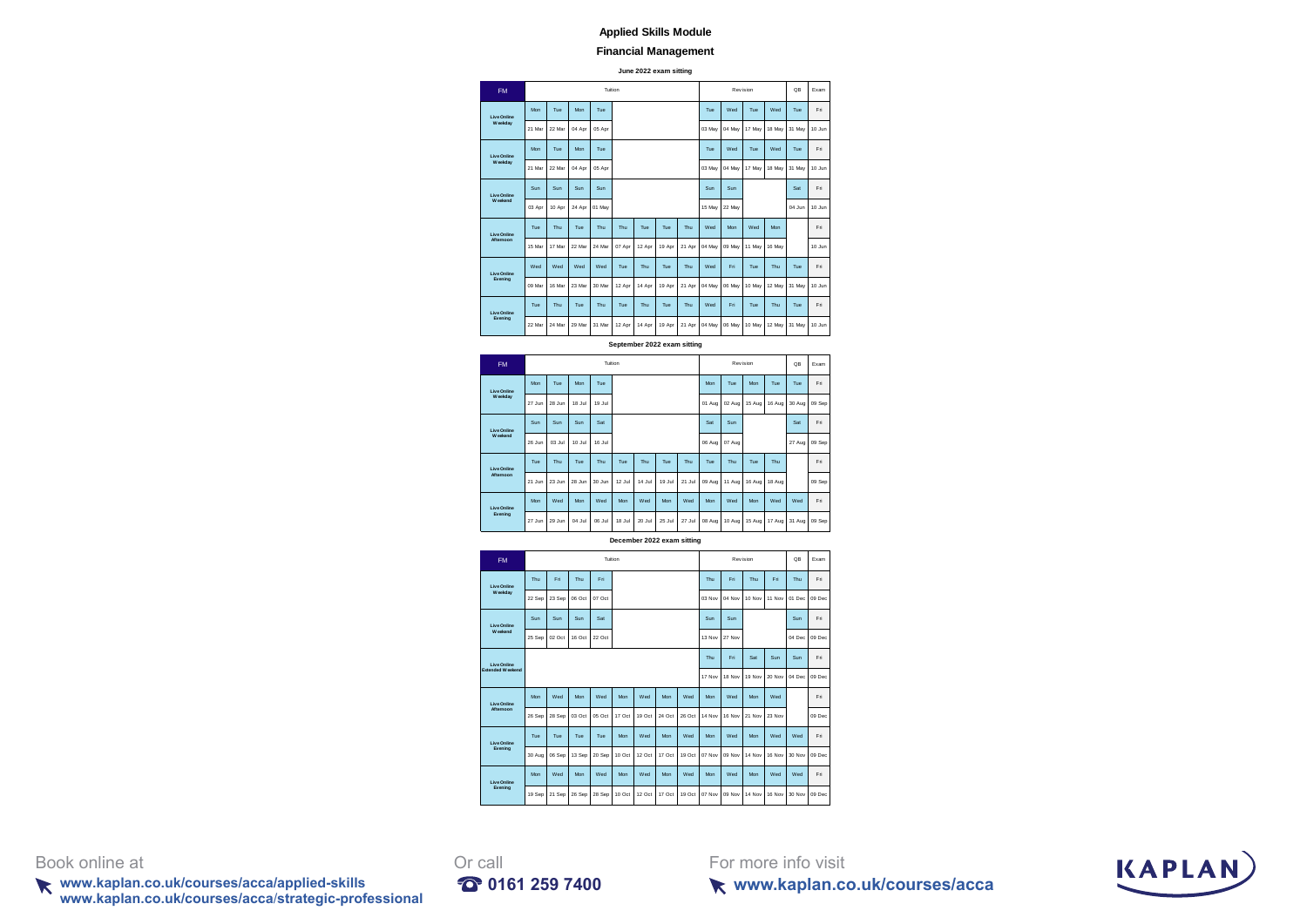# **Financial Management**

**June 2022 exam sitting**

|  | <b>FM</b>                     |        |        |        | Tuition |        |        |        |        |        | Revision |        |        | <b>QB</b> | Exam   |
|--|-------------------------------|--------|--------|--------|---------|--------|--------|--------|--------|--------|----------|--------|--------|-----------|--------|
|  | <b>Live Online</b>            | Mon    | Tue    | Mon    | Tue     |        |        |        |        | Tue    | Wed      | Tue    | Wed    | Tue       | Fri    |
|  | W cekday                      | 21 Mar | 22 Mar | 04 Apr | 05 Apr  |        |        |        |        | 03 May | 04 May   | 17 May | 18 May | 31 May    | 10 Jun |
|  | <b>Live Online</b>            | Mon    | Tue    | Mon    | Tue     |        |        |        |        | Tue    | Wed      | Tue    | Wed    | Tue       | Fri    |
|  | W cekday                      | 21 Mar | 22 Mar | 04 Apr | 05 Apr  |        |        |        |        | 03 May | 04 May   | 17 May | 18 May | 31 May    | 10 Jun |
|  | Live Online                   | Sun    | Sun    | Sun    | Sun     |        |        |        |        | Sun    | Sun      |        |        | Sat       | Eri    |
|  | Weekend                       | 03 Apr | 10 Apr | 24 Apr | 01 May  |        |        |        |        | 15 May | 22 May   |        |        | 04 Jun    | 10 Jun |
|  | Live Online                   | Tue    | Thu    | Tue    | Thu.    | Thu    | Tue    | Tue    | Thu    | Wed    | Mon      | Wed    | Mon    |           | Eri    |
|  | <b>Afternoon</b>              | 15 Mar | 17 Mar | 22 Mar | 24 Mar  | 07 Apr | 12 Apr | 19 Apr | 21 Apr | 04 May | 09 May   | 11 May | 16 May |           | 10 Jun |
|  | <b>Live Online</b>            | Wed    | Wed    | Wed    | Wed     | Tue    | Thu    | Tue    | Thu    | Wed    | Eri      | Tue    | Thu    | Tue       | Eri    |
|  | Evening                       | 09 Mar | 16 Mar | 23 Mar | 30 Mar  | 12 Apr | 14 Apr | 19 Apr | 21 Apr | 04 May | 06 May   | 10 May | 12 May | 31 May    | 10 Jun |
|  | <b>Live Online</b><br>Evening | Tue    | Thu    | Tue    | Thu.    | Tue    | Thu    | Tue    | Thu    | Wed    | Eri      | Tue    | Thu    | Tue       | Eri    |
|  |                               | 22 Mar | 24 Mar | 29 Mar | 31 Mar  | 12 Apr | 14 Apr | 19 Apr | 21 Apr | 04 May | 06 May   | 10 May | 12 May | 31 May    | 10 Jun |

**September 2022 exam sitting**

| <b>FM</b>          |        |        |            |        | Tuition |        |        |        |        |        | Revision |        | <b>QB</b> | Exam   |
|--------------------|--------|--------|------------|--------|---------|--------|--------|--------|--------|--------|----------|--------|-----------|--------|
| <b>Live Online</b> | Mon    | Tue    | Mon        | Tue    |         |        |        |        | Mon    | Tue    | Mon      | Tue    | Tue       | Fri    |
| W eekday           | 27 Jun | 28 Jun | 18 Jul     | 19 Jul |         |        |        |        | 01 Aug | 02 Aug | 15 Aug   | 16 Aug | 30 Aug    | 09 Sep |
| <b>Live Online</b> | Sun    | Sun    | Sun        | Sat    |         |        |        |        | Sat    | Sun    |          |        | Sat       | Fri    |
| Weekend            | 26 Jun | 03 Jul | 10 Jul     | 16 Jul |         |        |        |        | 06 Aug | 07 Aug |          |        | 27 Aug    | 09 Sep |
| <b>Live Online</b> | Tue    | Thu    | Tue        | Thu    | Tue     | Thu    | Tue    | Thu    | Tue    | Thu    | Tue      | Thu    |           | Fri    |
| Afternoon          | 21 Jun | 23 Jun | 28 Jun     | 30 Jun | 12 Jul  | 14 Jul | 19 Jul | 21 Jul | 09 Aug | 11 Aug | 16 Aug   | 18 Aug |           | 09 Sep |
| <b>Live Online</b> | Mon    | Wed    | <b>Mon</b> | Wed    | Mon     | Wed    | Mon    | Wed    | Mon    | Wed    | Mon      | Wed    | Wed       | Fri    |
| Evening            | 27 Jun | 29 Jun | 04 Jul     | 06 Jul | 18 Jul  | 20 Jul | 25 Jul | 27 Jul | 08 Aug | 10 Aug | 15 Aug   | 17 Aug | 31 Aug    | 09 Sep |

**December 2022 exam sitting**

| <b>FM</b>               |        |        |        | Tuition |        |        |        |        |        |        | Revision |        | OR     | Exam   |
|-------------------------|--------|--------|--------|---------|--------|--------|--------|--------|--------|--------|----------|--------|--------|--------|
| <b>Live Online</b>      | Thu    | Eri    | Thu    | Eri     |        |        |        |        | Thu    | Eri    | Thu      | Fri.   | Thu    | Eri    |
| W eekday                | 22 Sep | 23 Sep | 06 Oct | 07 Oct  |        |        |        |        | 03 Nov | 04 Nov | 10 Nov   | 11 Nov | 01 Dec | 09 Dec |
| <b>Live Online</b>      | Sun    | Sun    | Sun    | Sat     |        |        |        |        | Sun    | Sun    |          |        | Sun    | Fri    |
| Weekend                 | 25 Sep | 02 Oct | 16 Oct | 22 Oct  |        |        |        |        | 13 Nov | 27 Nov |          |        | 04 Dec | 09 Dec |
| Live Online             |        |        |        |         |        |        |        |        | Thu    | Eri    | Sat      | Sun    | Sun    | Fri    |
| <b>Extended Weekend</b> |        |        |        |         |        |        |        |        | 17 Nov | 18 Nov | 19 Nov   | 20 Nov | 04 Dec | 09 Dec |
| Live Online             | Mon    | Wed    | Mon    | Wed     | Mon    | Wed    | Mon    | Wed    | Mon    | Wed    | Mon      | Wed    |        | Eri    |
| <b>Afternoon</b>        | 26 Sep | 28 Sep | 03 Oct | 05 Oct  | 17 Oct | 19 Oct | 24 Oct | 26 Oct | 14 Nov | 16 Nov | 21 Nov   | 23 Nov |        | 09 Dec |
| <b>Live Online</b>      | Tue    | Tue    | Tue    | Tue     | Mon    | Wed    | Mon    | Wed    | Mon    | Wed    | Mon      | Wed    | Wed    | Fri    |
| Evening                 | 30 Aug | 06 Sep | 13 Sep | 20 Sep  | 10 Oct | 12 Oct | 17 Oct | 19 Oct | 07 Nov | 09 Nov | 14 Nov   | 16 Nov | 30 Nov | 09 Dec |
| <b>Live Online</b>      | Mon    | Wed    | Mon    | Wed     | Mon    | Wed    | Mon    | Wed    | Mon.   | Wed    | Mon      | Wed    | Wed    | Eri    |
| Evening                 | 19 Sep | 21 Sep | 26 Sep | 28 Sep  | 10 Oct | 12 Oct | 17 Oct | 19 Oct | 07 Nov | 09 Nov | 14 Nov   | 16 Nov | 30 Nov | 09 Dec |

# Book online at **Or** call

**www.kaplan.co.uk/courses/acca/applied-skills 0161 259 7400 www.kaplan.co.uk/courses/acca**/**strategic-professional**



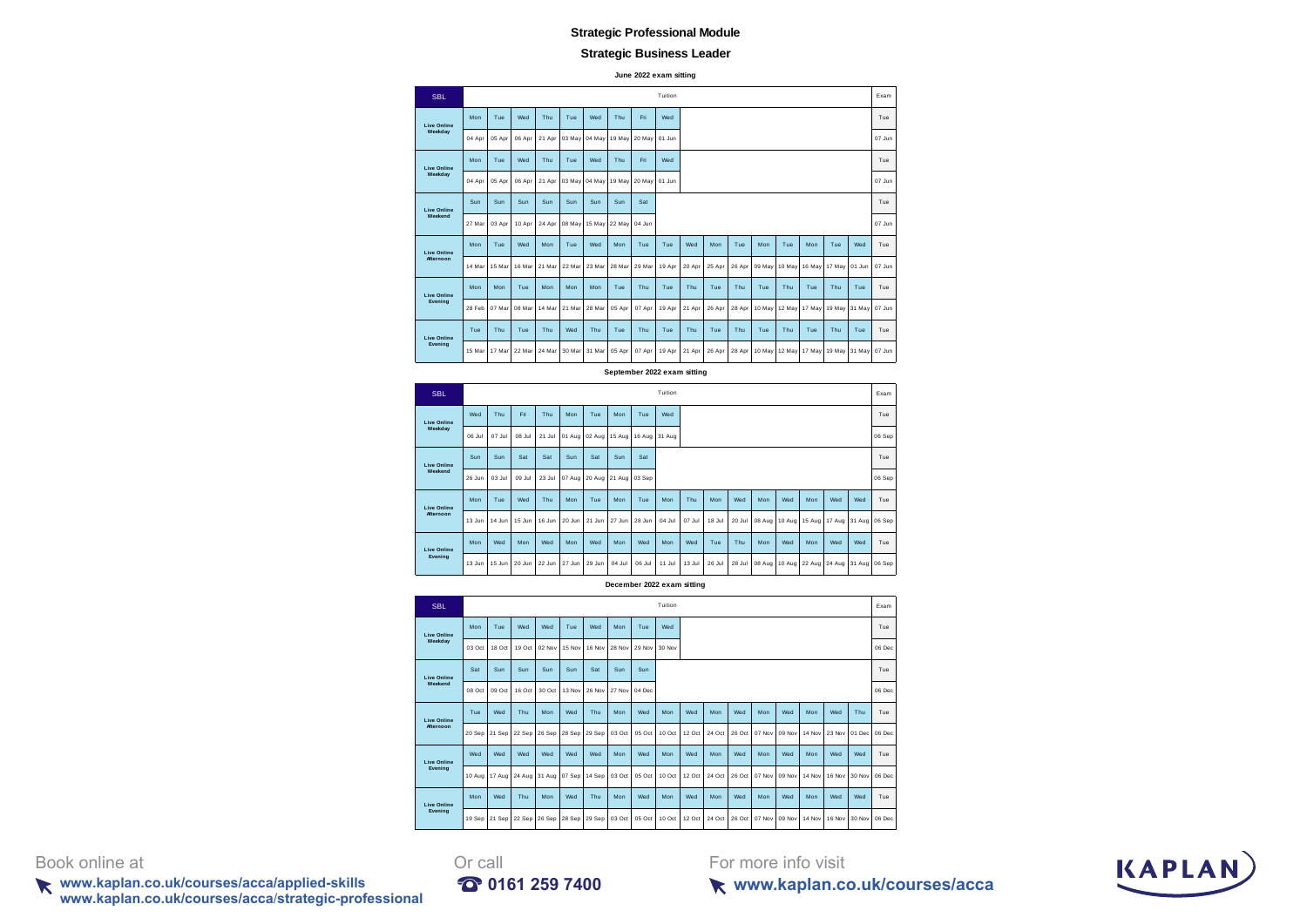### **Strategic Business Leader**

**June 2022 exam sitting**

| <b>SBL</b>         |        |        |        |        |        |        |        |        | Tuition |        |        |        |        |               |        |        |        | Exam   |
|--------------------|--------|--------|--------|--------|--------|--------|--------|--------|---------|--------|--------|--------|--------|---------------|--------|--------|--------|--------|
| <b>Live Online</b> | Mon    | Tue    | Wed    | Thu    | Tue    | Wed    | Thu    | Fri    | Wed     |        |        |        |        |               |        |        |        | Tue    |
| Weekday            | 04 Apr | 05 Apr | 06 Apr | 21 Apr | 03 May | 04 May | 19 May | 20 May | 01 Jun  |        |        |        |        |               |        |        |        | 07 Jun |
| <b>Live Online</b> | Mon    | Tue    | Wed    | Thu    | Tue    | Wed    | Thu    | Fri    | Wed     |        |        |        |        |               |        |        |        | Tue    |
| Weekday            | 04 Apr | 05 Apr | 06 Apr | 21 Apr | 03 May | 04 May | 19 May | 20 May | 01 Jun  |        |        |        |        |               |        |        |        | 07 Jun |
| <b>Live Online</b> | Sun    | Sun    | Sun    | Sun    | Sun    | Sun    | Sun    | Sat    |         |        |        |        |        |               |        |        |        | Tue    |
| Weekend            | 27 Mar | 03 Apr | 10 Apr | 24 Apr | 08 May | 15 May | 22 May | 04 Jun |         |        |        |        |        |               |        |        |        | 07 Jun |
| <b>Live Online</b> | Mon    | Tue    | Wed    | Mon    | Tue    | Wed    | Mon    | Tue    | Tue     | Wed    | Mon    | Tue    | Mon    | Tue           | Mon    | Tue    | Wed    | Tue    |
| Afternoon          | 14 Mar | 15 Mar | 16 Mar | 21 Mar | 22 Mar | 23 Mar | 28 Mar | 29 Mar | 19 Apr  | 20 Apr | 25 Apr | 26 Apr | 09 May | 10 May        | 16 May | 17 May | 01 Jun | 07 Jun |
| <b>Live Online</b> | Mon    | Mon    | Tue    | Mon    | Mon    | Mon    | Tue    | Thu    | Tue     | Thu    | Tue    | Thu    | Tue    | Thu           | Tue    | Thu    | Tue    | Tue    |
| Evening            | 28 Feb | 07 Mar | 08 Ma  | 14 Mar | 21 Mar | 28 Mar | 05 Apr | 07 Apr | 19 Apr  | 21 Apr | 26 Apr | 28 Apr | 10 May | 12 May        | 17 May | 19 May | 31 May | 07 Jun |
| <b>Live Online</b> | Tue    | Thu    | Tue    | Thu    | Wed    | Thu    | Tue    | Thu    | Tue     | Thu    | Tue    | Thu    | Tue    | Thu           | Tue    | Thu    | Tue    | Tue    |
| Evening            | 15 Mar | 17 Mar | 22 Mar | 24 Mar | 30 Mar | 31 Mar | 05 Apr | 07 Apr | 19 Apr  | 21 Apr | 26 Apr | 28 Apr | 10 May | 12 May 17 May |        | 19 May | 31 May | 07 Jun |

**September 2022 exam sitting**

| <b>SBL</b>         |        |        |        |        |        |        |               |        | Tuition       |        |        |        |        |     |     |     |                                    | Exam   |
|--------------------|--------|--------|--------|--------|--------|--------|---------------|--------|---------------|--------|--------|--------|--------|-----|-----|-----|------------------------------------|--------|
| <b>Live Online</b> | Wed    | Thu    | Eri    | Thu    | Mon    | Tue    | Mon           | Tue    | Wed           |        |        |        |        |     |     |     |                                    | Tue    |
| Weekday            | 06 Jul | 07 Jul | 08 Jul | 21 Jul | 01 Aug | 02 Aug | 15 Aug        |        | 16 Aug 31 Aug |        |        |        |        |     |     |     |                                    | 06 Sep |
| <b>Live Online</b> | Sun    | Sun    | Sat    | Sat    | Sun    | Sat    | Sun           | Sat    |               |        |        |        |        |     |     |     |                                    | Tue    |
| Weekend            | 26 Jun | 03 Jul | 09 Jul | 23 Jul | 07 Aug | 20 Aug | 21 Aug 03 Sep |        |               |        |        |        |        |     |     |     |                                    | 06 Sep |
| <b>Live Online</b> | Mon    | Tue    | Wed    | Thu    | Mon    | Tue    | Mon           | Tue    | Mon           | Thu    | Mon    | Wed    | Mon    | Wed | Mon | Wed | Wed                                | Tue    |
| <b>Afternoon</b>   | 13 Jun | 14 Jun | 15 Jun | 16 Jun | 20 Jun | 21 Jun | 27 Jun        | 28 Jun | 04 Jul        | 07 Jul | 18 Jul | 20 Jul | 08 Aug |     |     |     | 10 Aug 15 Aug 17 Aug 31 Aug 06 Sep |        |
| <b>Live Online</b> | Mon    | Wed    | Mon    | Wed    | Mon    | Wed    | Mon           | Wed    | Mon           | Wed    | Tue    | Thu    | Mon    | Wed | Mon | Wed | Wed                                | Tue    |
| Evening            | 13 Jun | 15 Jun | 20 Jun | 22 Jun | 27 Jun | 29 Jun | 04 Jul        | 06 Jul | 11 Jul        | 13 Jul | 26 Jul | 28 Jul | 08 Aug |     |     |     | 10 Aug 22 Aug 24 Aug 31 Aug 06 Sep |        |

**December 2022 exam sitting**

| <b>SBL</b>         |               |               |        |        |        |        |        |        | Tuition |        |        |        |        |        |        |        |        | Exam   |
|--------------------|---------------|---------------|--------|--------|--------|--------|--------|--------|---------|--------|--------|--------|--------|--------|--------|--------|--------|--------|
| <b>Live Online</b> | Mon           | Tue           | Wed    | Wed    | Tue    | Wed    | Mon    | Tue    | Wed     |        |        |        |        |        |        |        |        | Tue    |
| Weekdav            | 03 Oct        | 18 Oct        | 19 Oct | 02 Nov | 15 Nov | 16 Nov | 28 Nov | 29 Nov | 30 Nov  |        |        |        |        |        |        |        |        | 06 Dec |
| <b>Live Online</b> | Sat           | Sun           | Sun    | Sun    | Sun    | Sat    | Sun    | Sun    |         |        |        |        |        |        |        |        |        | Tue    |
| Weekend            | 08 Oct        | 09 Oct        | 16 Oct | 30 Oct | 13 Nov | 26 Nov | 27 Nov | 04 Dec |         |        |        |        |        |        |        |        |        | 06 Dec |
| <b>Live Online</b> | Tue           | Wed           | Thu    | Mon    | Wed    | Thu    | Mon    | Wed    | Mon     | Wed    | Mon    | Wed    | Mon    | Wed    | Mon    | Wed    | Thu    | Tue    |
| Afternoon          | 20 Sep 21 Sep |               | 22 Sep | 26 Sep | 28 Sep | 29 Sep | 03 Oct | 05 Oct | 10 Oct  | 12 Oct | 24 Oct | 26 Oct | 07 Nov | 09 Nov | 14 Nov | 23 Nov | 01 Dec | 06 Dec |
| <b>Live Online</b> | Wed           | Wed           | Wed    | Wed    | Wed    | Wed    | Mon    | Wed    | Mon     | Wed    | Mon    | Wed    | Mon    | Wed    | Mon    | Wed    | Wed    | Tue    |
| Evening            |               | 10 Aug 17 Aug | 24 Aug | 31 Aug | 07 Sep | 14 Sep | 03 Oct | 05 Oct | 10 Oct  | 12 Oct | 24 Oct | 26 Oct | 07 Nov | 09 Nov | 14 Nov | 16 Nov | 30 Nov | 06 Dec |
| <b>Live Online</b> | Mon           | Wed           | Thu    | Mon    | Wed    | Thu    | Mon    | Wed    | Mon     | Wed    | Mon    | Wed    | Mon    | Wed    | Mon    | Wed    | Wed    | Tue    |
| Evening            | 19 Sep 21 Sep |               | 22 Sep | 26 Sep | 28 Sep | 29 Sep | 03 Oct | 05 Oct | 10 Oct  | 12 Oct | 24 Oct | 26 Oct | 07 Nov | 09 Nov | 14 Nov | 16 Nov | 30 Nov | 06 Dec |

Book online at Orcall

**www.kaplan.co.uk/courses/acca/applied-skills 0161 259 7400 www.kaplan.co.uk/courses/acca**/**strategic-professional**



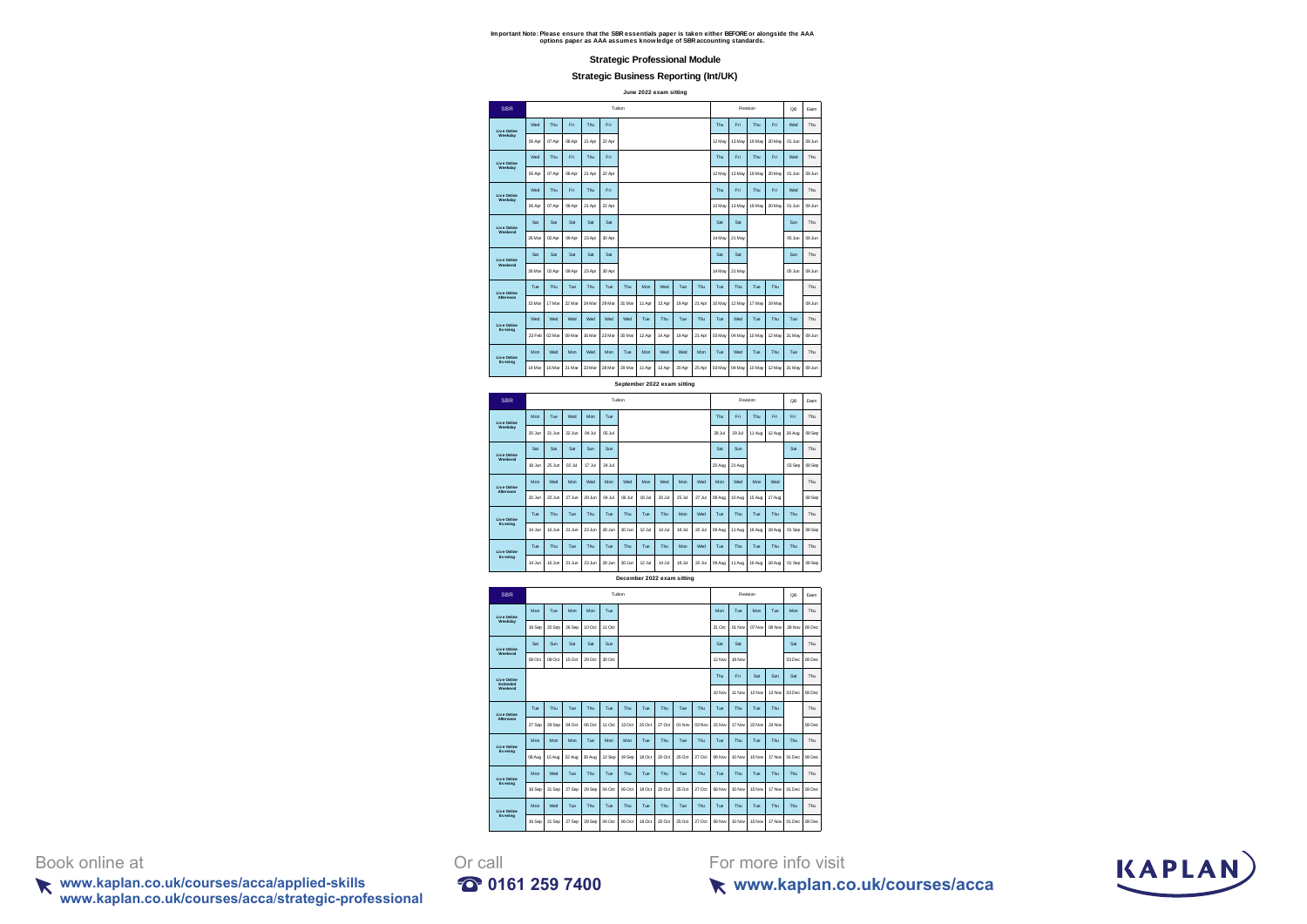#### **Strategic Business Reporting (Int/UK)**

**June 2022 exam sitting**

| <b>SBR</b>     |        |        |        |        |        | Tuition                     |        |        |        |        |        |        | Revision |          | <b>QB</b> | Exam   |
|----------------|--------|--------|--------|--------|--------|-----------------------------|--------|--------|--------|--------|--------|--------|----------|----------|-----------|--------|
| Live Online    | Wed    | Thu    | Eri    | Thu    | Fri    |                             |        |        |        |        | Thu    | Fri    | Thu      | Fri      | Wed       | Thu    |
| Weekday        | 06 Apr | 07 Apr | 08 Apr | 21 Apr | 22 Apr |                             |        |        |        |        | 12 May | 13 May | 19 May   | 20 May   | 01 Jun    | 09 Jun |
| Live Online    | Wed    | Thu    | Eri    | Thu    | Fri    |                             |        |        |        |        | Thu    | Fri    | Thu      | Fri      | Wed       | Thu    |
| Weekday        | 06 Apr | 07 Apr | 08 Apr | 21 Apr | 22 Apr |                             |        |        |        |        | 12 May | 13 May | 19 May   | 20 May   | 01 Jun    | 09 Jun |
| Live Online    | Wed    | Thu    | Eri    | Thu    | Fri    |                             |        |        |        |        | Thu    | Fri    | Thu      | Fri      | Wed       | Thu    |
| Weekday        | 06 Apr | 07 Apr | 08 Apr | 21 Apr | 22 Apr |                             |        |        |        |        | 12 May | 13 May | 19 May   | $20$ May | 01 Jun    | 09 Jun |
| Live Online    | Sat    | Sat    | Sat    | Sat    | Sat    |                             |        |        |        |        | Sat    | Sat    |          |          | Sun       | Thu    |
| Weekend        | 26 Mar | 02 Apr | 09 Apr | 23 Apr | 30 Apr |                             |        |        |        |        | 14 May | 21 May |          |          | 05 Jun    | 09 Jun |
| Live Online    | Set    | Sat    | Sat    | Sat    | Set    |                             |        |        |        |        | Sat    | Sat    |          |          | Sin       | Thu    |
| Weekend        | 26 Mar | 02 Apr | 09 Apr | 23 Apr | 30 Apr |                             |        |        |        |        | 14 May | 21 May |          |          | 05 Jun    | 09 Jun |
| Live Online    | Tue    | Thu    | Tue    | Thu    | Tue    | Thu                         | Mon    | Wed    | Tue    | Thu    | Tue    | Thu    | Tue      | Thu      |           | Thu    |
| Afternoon      | 15 Mar | 17 Mar | 22 Mar | 24 Mar | 29 Mar | 31 Mar                      | 11 Apr | 13 Apr | 19 Apr | 21 Apr | 10 May | 12 May | 17 May   | 19 May   |           | 09 Jun |
| Live Online    | Wed    | Wed    | Wed    | Wed    | Wed    | Wed                         | Tue    | Thu    | Tue    | Thu    | Tue    | Wed    | Tue      | Thu      | Tue       | Thu    |
| Evening        | 23 Feb | 02 Mar | 09 Mar | 16 Mar | 23 Mar | 30 Mar                      | 12 Apr | 14 Apr | 19 Apr | 21 Apr | 03 May | 04 May | 10 May   | 12 May   | 31 May    | 09 Jun |
| Live Online    | Mon    | Wed    | Mon    | Wed    | Man    | Tue                         | Mon    | Wed    | Wed    | Mon    | Tue    | Wed    | Tue      | Thu      | Tue       | Thu    |
| <b>Evening</b> | 14 Mar | 16 Mar | 21 Mar | 23 Mar | 28 Mar | 29 Mar                      | 11 Apr | 13 Apr | 20 Apr | 25 Apr | 03 May | 04 May | 10 May   | 12 May   | 31 May    | 09 Jun |
|                |        |        |        |        |        | September 2022 exam sitting |        |        |        |        |        |        |          |          |           |        |
| <b>SBR</b>     |        |        |        |        |        | Tuition                     |        |        |        |        |        |        | Revision |          | <b>QB</b> | Exam   |
| Live Online    | Mon    | Tue    | Wed    | Man    | Tue    |                             |        |        |        |        | Thu    | Fri    | Thu      | Fri      | Fri       | Thu    |
| Weekday        | 20 Jun | 21 Jun | 22 Jun | 04.3d  | 05 Jul |                             |        |        |        |        | 28 Jul | 29 Jul | 11 Aug   | 12 Aug   | 26 Aug    | 08 Sep |
| Live Online    | Sat    | Sat    | Sat    | Sun    | Sun    |                             |        |        |        |        | Sat    | Sun    |          |          | Sat       | Thu    |
| Weekend        | 18 Jun | 25 Jun | 02 Jul | 17 Jul | 24 Jul |                             |        |        |        |        | 20 Aug | 21 Aug |          |          | 03 Sep    | 08 Sep |



**December 2022 exam sitting**



Book online at Or call<br>
www.kaplan.co.uk/courses/acca/applied-skills **C** 0161 259 7400 **www.kaplan.co.uk/courses/acca/applied-skills 0161 259 7400 www.kaplan.co.uk/courses/acca**/**strategic-professional**

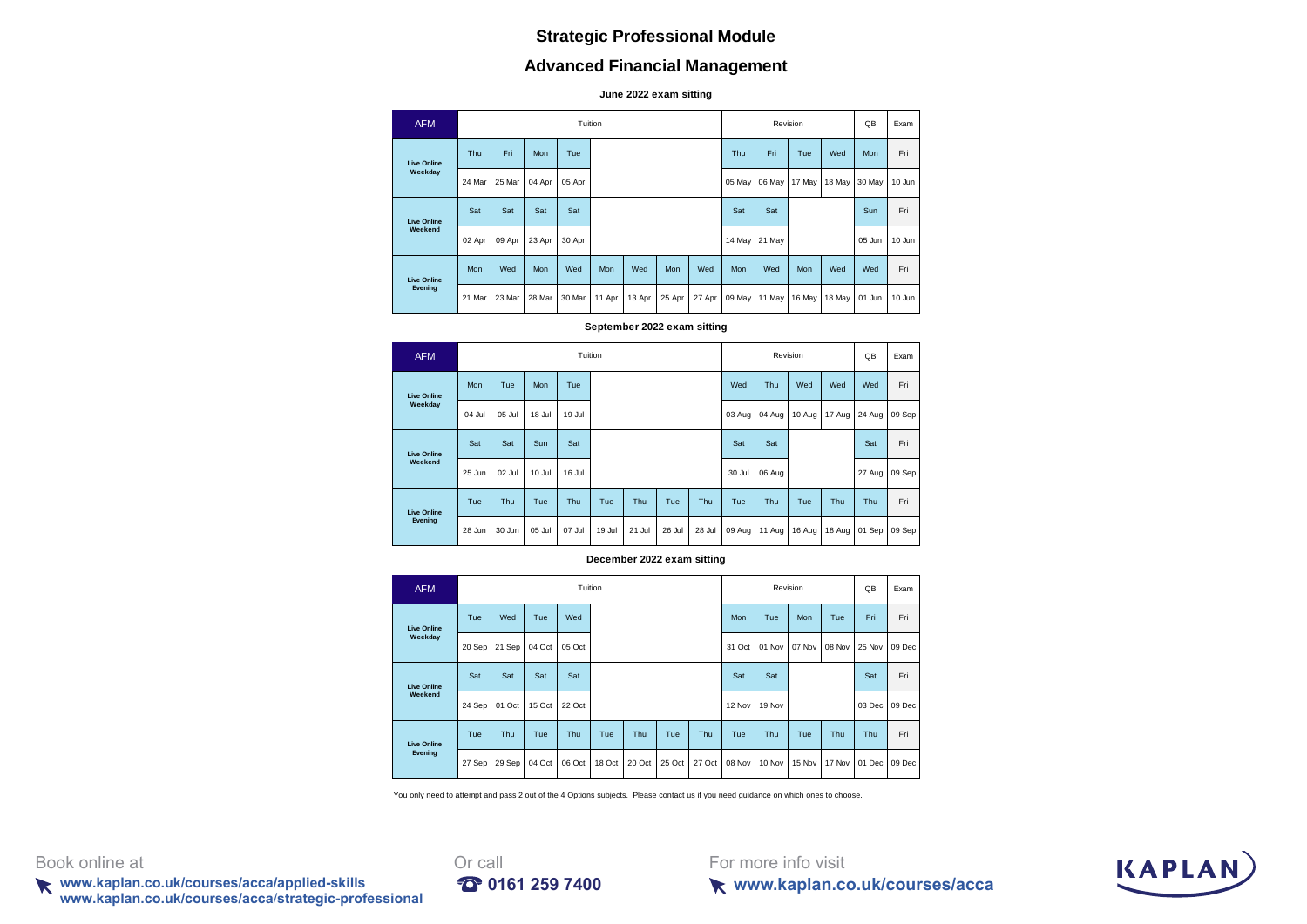# **Advanced Financial Management**

**June 2022 exam sitting**

| <b>AFM</b>         |        |        |        |        | Tuition |        |        |        |        | Revision |               |        | QB     | Exam   |
|--------------------|--------|--------|--------|--------|---------|--------|--------|--------|--------|----------|---------------|--------|--------|--------|
| <b>Live Online</b> | Thu    | Fri    | Mon    | Tue    |         |        |        |        | Thu    | Fri.     | Tue           | Wed    | Mon    | Fri    |
| Weekday            | 24 Mar | 25 Mar | 04 Apr | 05 Apr |         |        |        |        | 05 May | 06 May   | 17 May        | 18 May | 30 May | 10 Jun |
| <b>Live Online</b> | Sat    | Sat    | Sat    | Sat    |         |        |        |        | Sat    | Sat      |               |        | Sun    | Fri    |
| Weekend            | 02 Apr | 09 Apr | 23 Apr | 30 Apr |         |        |        |        | 14 May | 21 May   |               |        | 05 Jun | 10 Jun |
| <b>Live Online</b> | Mon    | Wed    | Mon    | Wed    | Mon     | Wed    | Mon    | Wed    | Mon    | Wed      | Mon           | Wed    | Wed    | Fri    |
| Evening            | 21 Mar | 23 Mar | 28 Mar | 30 Mar | 11 Apr  | 13 Apr | 25 Apr | 27 Apr | 09 May |          | 11 May 16 May | 18 May | 01 Jun | 10 Jun |

#### **September 2022 exam sitting**

| <b>AFM</b>         |            |            |        |        | Tuition |        |        |        |        |        | Revision |        | QB     | Exam   |
|--------------------|------------|------------|--------|--------|---------|--------|--------|--------|--------|--------|----------|--------|--------|--------|
| <b>Live Online</b> | <b>Mon</b> | Tue        | Mon    | Tue    |         |        |        |        | Wed    | Thu    | Wed      | Wed    | Wed    | Fri    |
| Weekday            | 04 Jul     | 05 Jul     | 18 Jul | 19 Jul |         |        |        |        | 03 Aug | 04 Aug | $10$ Aug | 17 Aug | 24 Aug | 09 Sep |
| <b>Live Online</b> | Sat        | Sat        | Sun    | Sat    |         |        |        |        | Sat    | Sat    |          |        | Sat    | Fri    |
| Weekend            | 25 Jun     | 02 Jul     | 10 Jul | 16 Jul |         |        |        |        | 30 Jul | 06 Aug |          |        | 27 Aug | 09 Sep |
| <b>Live Online</b> | Tue        | <b>Thu</b> | Tue    | Thu    | Tue     | Thu    | Tue    | Thu    | Tue    | Thu    | Tue      | Thu    | Thu    | Fri    |
| Evening            | 28 Jun     | 30 Jun     | 05 Jul | 07 Jul | 19 Jul  | 21 Jul | 26 Jul | 28 Jul | 09 Aug | 11 Aug | 16 Aug   | 18 Aug | 01 Sep | 09 Sep |

### **December 2022 exam sitting**

| <b>AFM</b>         |        |        |        |        | Tuition |        |        |        |        |        | Revision |        | QB     | Exam   |
|--------------------|--------|--------|--------|--------|---------|--------|--------|--------|--------|--------|----------|--------|--------|--------|
| <b>Live Online</b> | Tue    | Wed    | Tue    | Wed    |         |        |        |        | Mon    | Tue    | Mon      | Tue    | Fri    | Fri    |
| Weekday            | 20 Sep | 21 Sep | 04 Oct | 05 Oct |         |        |        |        | 31 Oct | 01 Nov | 07 Nov   | 08 Nov | 25 Nov | 09 Dec |
| <b>Live Online</b> | Sat    | Sat    | Sat    | Sat    |         |        |        |        | Sat    | Sat    |          |        | Sat    | Fri    |
| Weekend            | 24 Sep | 01 Oct | 15 Oct | 22 Oct |         |        |        |        | 12 Nov | 19 Nov |          |        | 03 Dec | 09 Dec |
| <b>Live Online</b> | Tue    | Thu    | Tue    | Thu    | Tue     | Thu    | Tue    | Thu    | Tue    | Thu    | Tue      | Thu    | Thu    | Fri    |
| Evening            | 27 Sep | 29 Sep | 04 Oct | 06 Oct | 18 Oct  | 20 Oct | 25 Oct | 27 Oct | 08 Nov | 10 Nov | 15 Nov   | 17 Nov | 01 Dec | 09 Dec |

You only need to attempt and pass 2 out of the 4 Options subjects. Please contact us if you need guidance on which ones to choose.

Book online at Orcall

**www.kaplan.co.uk/courses/acca/applied-skills 0161 259 7400 www.kaplan.co.uk/courses/acca**/**strategic-professional**



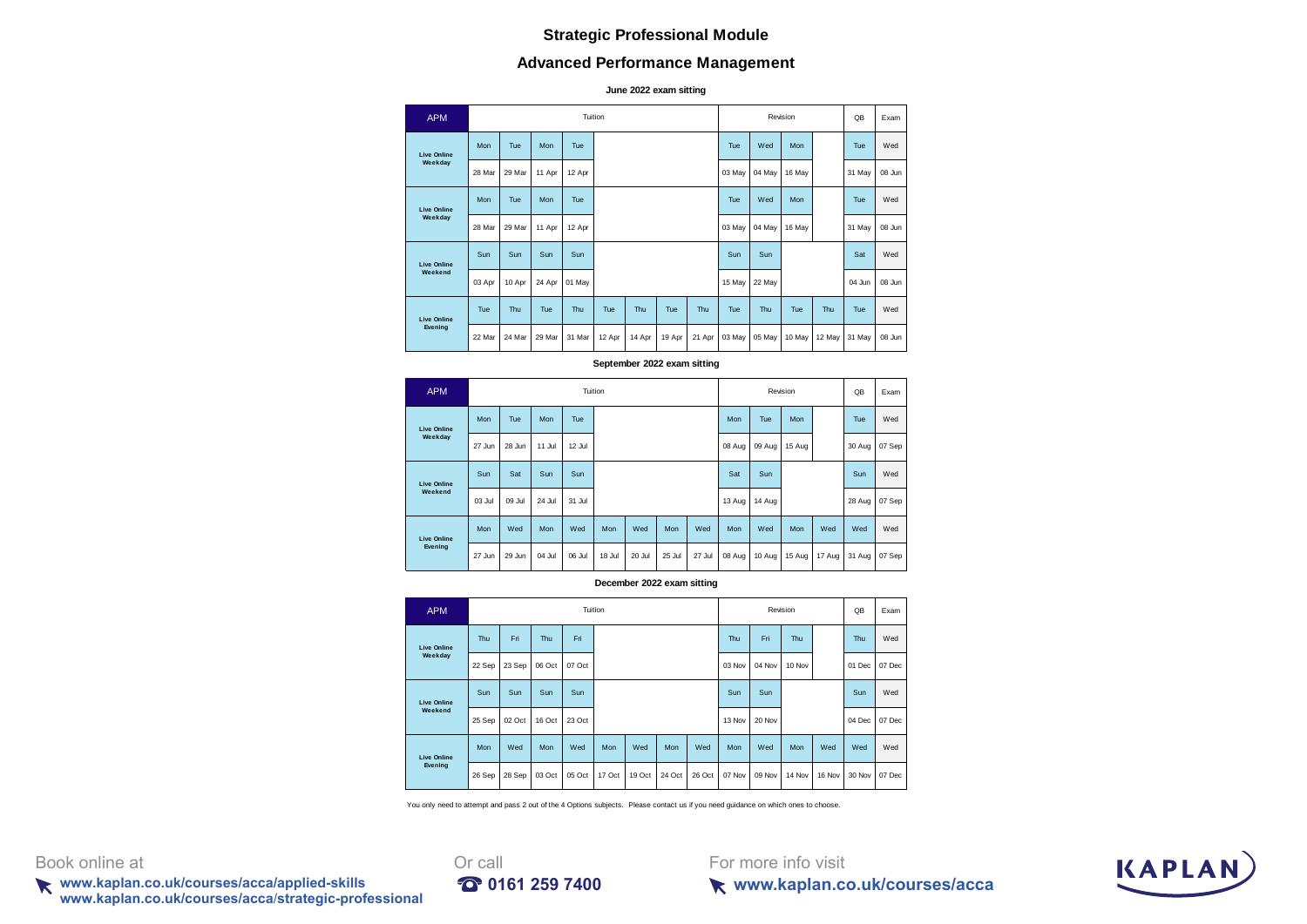# **Advanced Performance Management**

**June 2022 exam sitting**

| <b>APM</b>         |        |        |            |        | Tuition |        |        |        |        |        | Revision |        | QB     | Exam   |
|--------------------|--------|--------|------------|--------|---------|--------|--------|--------|--------|--------|----------|--------|--------|--------|
| <b>Live Online</b> | Mon    | Tue    | <b>Mon</b> | Tue    |         |        |        |        | Tue    | Wed    | Mon      |        | Tue    | Wed    |
| Weekday            | 28 Mar | 29 Mar | 11 Apr     | 12 Apr |         |        |        |        | 03 May | 04 May | 16 May   |        | 31 May | 08 Jun |
| <b>Live Online</b> | Mon    | Tue    | <b>Mon</b> | Tue    |         |        |        |        | Tue    | Wed    | Mon      |        | Tue    | Wed    |
| Weekday            | 28 Mar | 29 Mar | 11 Apr     | 12 Apr |         |        |        |        | 03 May | 04 May | 16 May   |        | 31 May | 08 Jun |
| <b>Live Online</b> | Sun    | Sun    | Sun        | Sun    |         |        |        |        | Sun    | Sun    |          |        | Sat    | Wed    |
| Weekend            | 03 Apr | 10 Apr | 24 Apr     | 01 May |         |        |        |        | 15 May | 22 May |          |        | 04 Jun | 08 Jun |
| <b>Live Online</b> | Tue    | Thu    | Tue        | Thu    | Tue     | Thu    | Tue    | Thu    | Tue    | Thu    | Tue      | Thu    | Tue    | Wed    |
| Evening            | 22 Mar | 24 Mar | 29 Mar     | 31 Mar | 12 Apr  | 14 Apr | 19 Apr | 21 Apr | 03 May | 05 May | 10 May   | 12 May | 31 May | 08 Jun |

#### **September 2022 exam sitting**

| <b>APM</b>         |        |        |        |            | Tuition    |        |            |        |        | Revision | QB     | Exam   |        |        |
|--------------------|--------|--------|--------|------------|------------|--------|------------|--------|--------|----------|--------|--------|--------|--------|
| <b>Live Online</b> | Mon    | Tue    | Mon    | <b>Tue</b> |            |        |            |        | Mon    | Tue      | Mon    |        | Tue    | Wed    |
| Weekday            | 27 Jun | 28 Jun | 11 Jul | 12 Jul     |            |        |            |        | 08 Aug | 09 Aug   | 15 Aug |        | 30 Aug | 07 Sep |
| <b>Live Online</b> | Sun    | Sat    | Sun    | Sun        |            |        |            |        | Sat    | Sun      |        |        | Sun    | Wed    |
| Weekend            | 03 Jul | 09 Jul | 24 Jul | 31 Jul     |            |        |            |        | 13 Aug | 14 Aug   |        |        | 28 Aug | 07 Sep |
| <b>Live Online</b> | Mon    | Wed    | Mon    | Wed        | <b>Mon</b> | Wed    | <b>Mon</b> | Wed    | Mon    | Wed      | Mon    | Wed    | Wed    | Wed    |
| Evening            | 27 Jun | 29 Jun | 04 Jul | 06 Jul     | 18 Jul     | 20 Jul | 25 Jul     | 27 Jul | 08 Aug | 10 Aug   | 15 Aug | 17 Aug | 31 Aug | 07 Sep |

**December 2022 exam sitting**

| <b>APM</b>         |        |        |        |        | Tuition |        |            |        |        | Revision |            | QB     | Exam   |        |
|--------------------|--------|--------|--------|--------|---------|--------|------------|--------|--------|----------|------------|--------|--------|--------|
| <b>Live Online</b> | Thu    | Fri    | Thu    | Fri    |         |        |            |        | Thu    | Fri      | Thu        |        | Thu    | Wed    |
| Weekday            | 22 Sep | 23 Sep | 06 Oct | 07 Oct |         |        |            |        | 03 Nov | 04 Nov   | 10 Nov     |        | 01 Dec | 07 Dec |
| <b>Live Online</b> | Sun    | Sun    | Sun    | Sun    |         |        |            |        | Sun    | Sun      |            |        | Sun    | Wed    |
| Weekend            | 25 Sep | 02 Oct | 16 Oct | 23 Oct |         |        |            |        | 13 Nov | 20 Nov   |            |        | 04 Dec | 07 Dec |
| <b>Live Online</b> | Mon    | Wed    | Mon    | Wed    | Mon     | Wed    | <b>Mon</b> | Wed    | Mon    | Wed      | <b>Mon</b> | Wed    | Wed    | Wed    |
| Evening            | 26 Sep | 28 Sep | 03 Oct | 05 Oct | 17 Oct  | 19 Oct | 24 Oct     | 26 Oct | 07 Nov | 09 Nov   | 14 Nov     | 16 Nov | 30 Nov | 07 Dec |

You only need to attempt and pass 2 out of the 4 Options subjects. Please contact us if you need guidance on which ones to choose.

Book online at **Driverse and Critical** Book online at **Or** call

**www.kaplan.co.uk/courses/acca/applied-skills 0161 259 7400 www.kaplan.co.uk/courses/acca**/**strategic-professional**



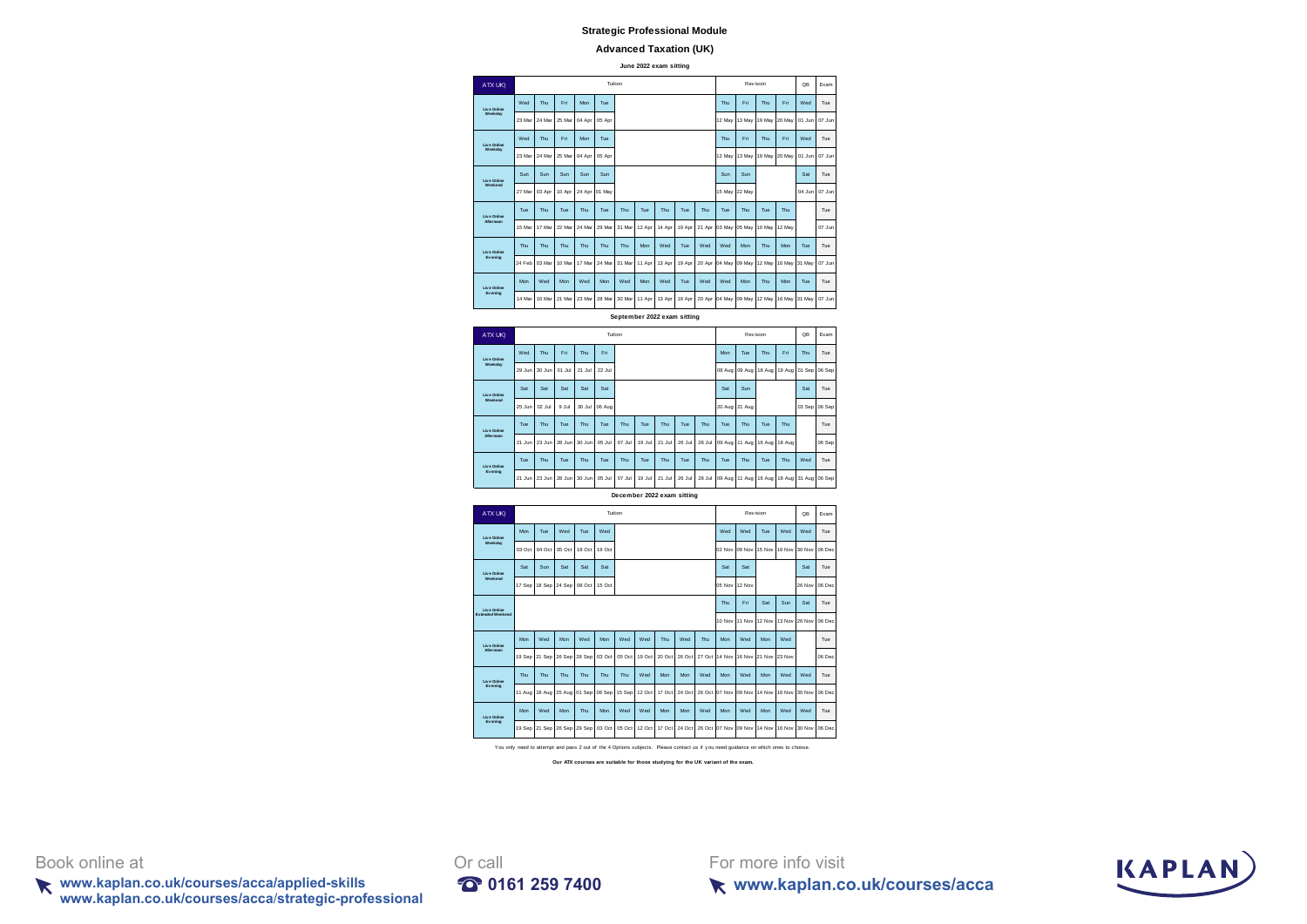#### **Advanced Taxation (UK)**

**June 2022 exam sitting**



ATXUK) QB Exam Wed Thu Fri Thu Fri Mon Tue Thu Fri Thu Tue 29 Jun 30 Jun 01 Jul 21 Jul 22 Jul 08 Aug 09 Aug 18 Aug 19 Aug 01 Sep 06 Sep Sat Sat Sat Sat Sat Sat Sun Sat Tue 25 Jun 02 Jul 9 Jul 30 Jul 06 Aug 20 Aug 21 Aug 03 Sep 06 Sep Tue Thu Tue Thu Tue Thu Tue Thu Tue Thu Tue Thu Tue Thu Tue 21 Jun 23 Jun 28 Jun 30 Jun 05 Jul 07 Jul 19 Jul 21 Jul 26 Jul 28 Jul 09 Aug 11 Aug 16 Aug 18 Aug 06 Sep Tue Thu Tue Thu Tue Thu Tue Thu Tue Thu Tue Thu Tue Thu Tue Thu Tue Thu Wed Tue 21 Jun 23 Jun 28 Jun 30 Jun 05 Jul 07 Jul 19 Jul 21 Jul 26 Jul 28 Jul 09 Aug 11 Aug 16 Aug 18 Aug 31 Aug 06 Sep **Liv e Online Weekday Liv e Online Weekend** Tuition Rev ision **Liv e Online Afternoon Liv e Online Ev ening**

**December 2022 exam sitting**



**Our ATX courses are suitable for those studying for the UK variant of the exam.**

Book online at Orcall

**www.kaplan.co.uk/courses/acca/applied-skills 0161 259 7400 www.kaplan.co.uk/courses/acca**/**strategic-professional**